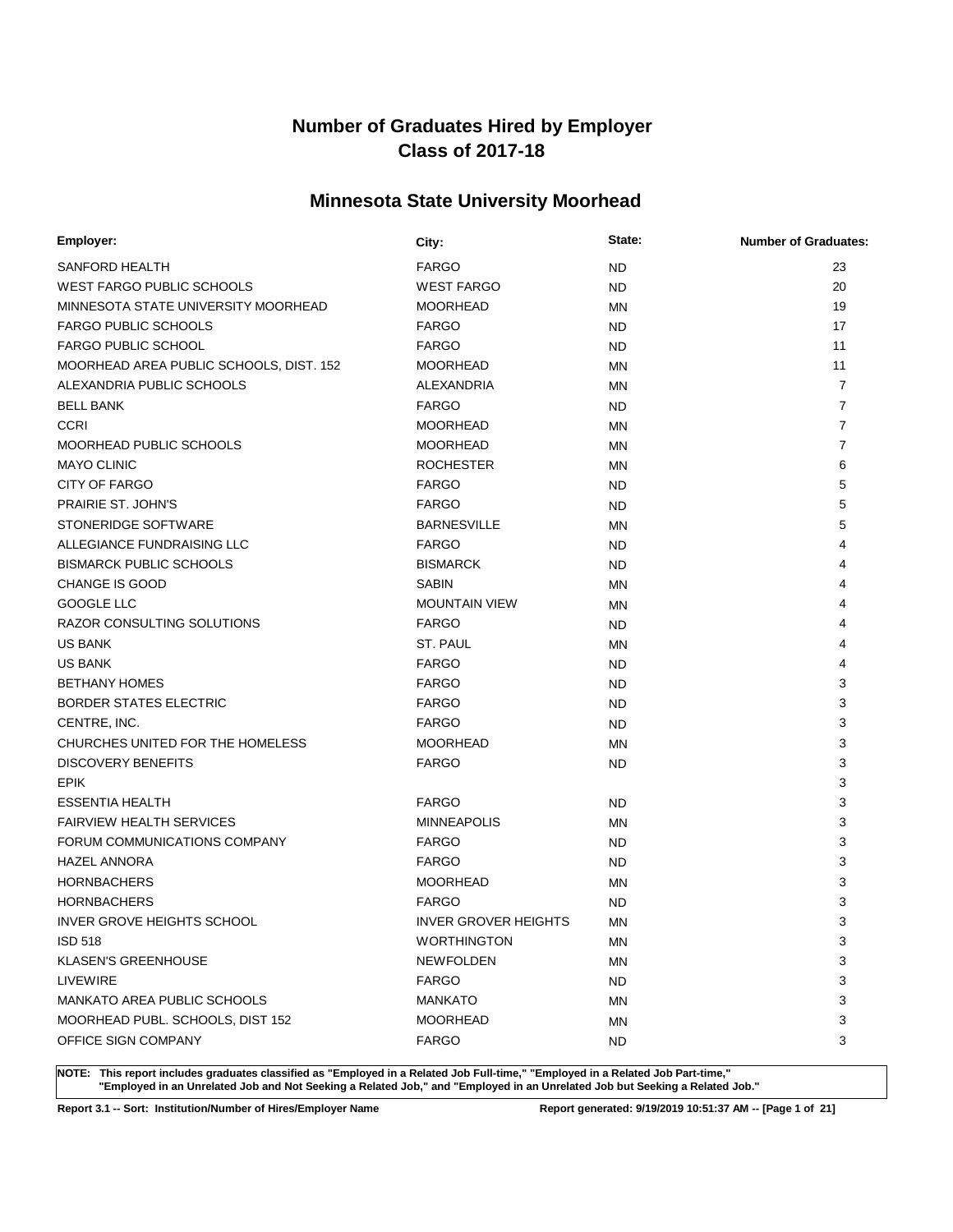# **Minnesota State University Moorhead**

| Employer:                               | City:                       | State:    | <b>Number of Graduates:</b> |
|-----------------------------------------|-----------------------------|-----------|-----------------------------|
| SANFORD HEALTH                          | <b>FARGO</b>                | <b>ND</b> | 23                          |
| <b>WEST FARGO PUBLIC SCHOOLS</b>        | <b>WEST FARGO</b>           | <b>ND</b> | 20                          |
| MINNESOTA STATE UNIVERSITY MOORHEAD     | <b>MOORHEAD</b>             | MN        | 19                          |
| <b>FARGO PUBLIC SCHOOLS</b>             | <b>FARGO</b>                | ND.       | 17                          |
| <b>FARGO PUBLIC SCHOOL</b>              | <b>FARGO</b>                | <b>ND</b> | 11                          |
| MOORHEAD AREA PUBLIC SCHOOLS, DIST. 152 | <b>MOORHEAD</b>             | ΜN        | 11                          |
| ALEXANDRIA PUBLIC SCHOOLS               | ALEXANDRIA                  | MN        | $\overline{7}$              |
| <b>BELL BANK</b>                        | <b>FARGO</b>                | ND.       | $\overline{7}$              |
| <b>CCRI</b>                             | <b>MOORHEAD</b>             | MN        | $\overline{7}$              |
| <b>MOORHEAD PUBLIC SCHOOLS</b>          | <b>MOORHEAD</b>             | ΜN        | 7                           |
| <b>MAYO CLINIC</b>                      | <b>ROCHESTER</b>            | MN        | 6                           |
| CITY OF FARGO                           | <b>FARGO</b>                | ND.       | 5                           |
| PRAIRIE ST. JOHN'S                      | <b>FARGO</b>                | <b>ND</b> | 5                           |
| STONERIDGE SOFTWARE                     | <b>BARNESVILLE</b>          | ΜN        | 5                           |
| ALLEGIANCE FUNDRAISING LLC              | <b>FARGO</b>                | <b>ND</b> | 4                           |
| <b>BISMARCK PUBLIC SCHOOLS</b>          | <b>BISMARCK</b>             | <b>ND</b> | 4                           |
| <b>CHANGE IS GOOD</b>                   | <b>SABIN</b>                | ΜN        | 4                           |
| GOOGLE LLC                              | <b>MOUNTAIN VIEW</b>        | ΜN        | 4                           |
| <b>RAZOR CONSULTING SOLUTIONS</b>       | <b>FARGO</b>                | <b>ND</b> | 4                           |
| <b>US BANK</b>                          | ST. PAUL                    | ΜN        | 4                           |
| <b>US BANK</b>                          | <b>FARGO</b>                | <b>ND</b> | 4                           |
| <b>BETHANY HOMES</b>                    | <b>FARGO</b>                | <b>ND</b> | 3                           |
| <b>BORDER STATES ELECTRIC</b>           | <b>FARGO</b>                | <b>ND</b> | 3                           |
| CENTRE, INC.                            | <b>FARGO</b>                | <b>ND</b> | 3                           |
| CHURCHES UNITED FOR THE HOMELESS        | <b>MOORHEAD</b>             | MN        | 3                           |
| <b>DISCOVERY BENEFITS</b>               | <b>FARGO</b>                | <b>ND</b> | 3                           |
| <b>EPIK</b>                             |                             |           | 3                           |
| <b>ESSENTIA HEALTH</b>                  | <b>FARGO</b>                | ND.       | 3                           |
| <b>FAIRVIEW HEALTH SERVICES</b>         | <b>MINNEAPOLIS</b>          | MN        | 3                           |
| FORUM COMMUNICATIONS COMPANY            | <b>FARGO</b>                | <b>ND</b> | 3                           |
| <b>HAZEL ANNORA</b>                     | <b>FARGO</b>                | <b>ND</b> | 3                           |
| <b>HORNBACHERS</b>                      | <b>MOORHEAD</b>             | MN        | 3                           |
| <b>HORNBACHERS</b>                      | <b>FARGO</b>                | <b>ND</b> | 3                           |
| INVER GROVE HEIGHTS SCHOOL              | <b>INVER GROVER HEIGHTS</b> | ΜN        | 3                           |
| <b>ISD 518</b>                          | <b>WORTHINGTON</b>          | ΜN        | 3                           |
| KLASEN'S GREENHOUSE                     | <b>NEWFOLDEN</b>            | ΜN        | 3                           |
| LIVEWIRE                                | <b>FARGO</b>                | <b>ND</b> | 3                           |
| MANKATO AREA PUBLIC SCHOOLS             | <b>MANKATO</b>              | ΜN        | 3                           |
| MOORHEAD PUBL. SCHOOLS, DIST 152        | <b>MOORHEAD</b>             | ΜN        | 3                           |
| OFFICE SIGN COMPANY                     | <b>FARGO</b>                | ND.       | 3                           |

**NOTE: This report includes graduates classified as "Employed in a Related Job Full-time," "Employed in a Related Job Part-time," "Employed in an Unrelated Job and Not Seeking a Related Job," and "Employed in an Unrelated Job but Seeking a Related Job."**

**Report 3.1 -- Sort: Institution/Number of Hires/Employer Name Report generated: 9/19/2019 10:51:37 AM -- [Page 1 of 21]**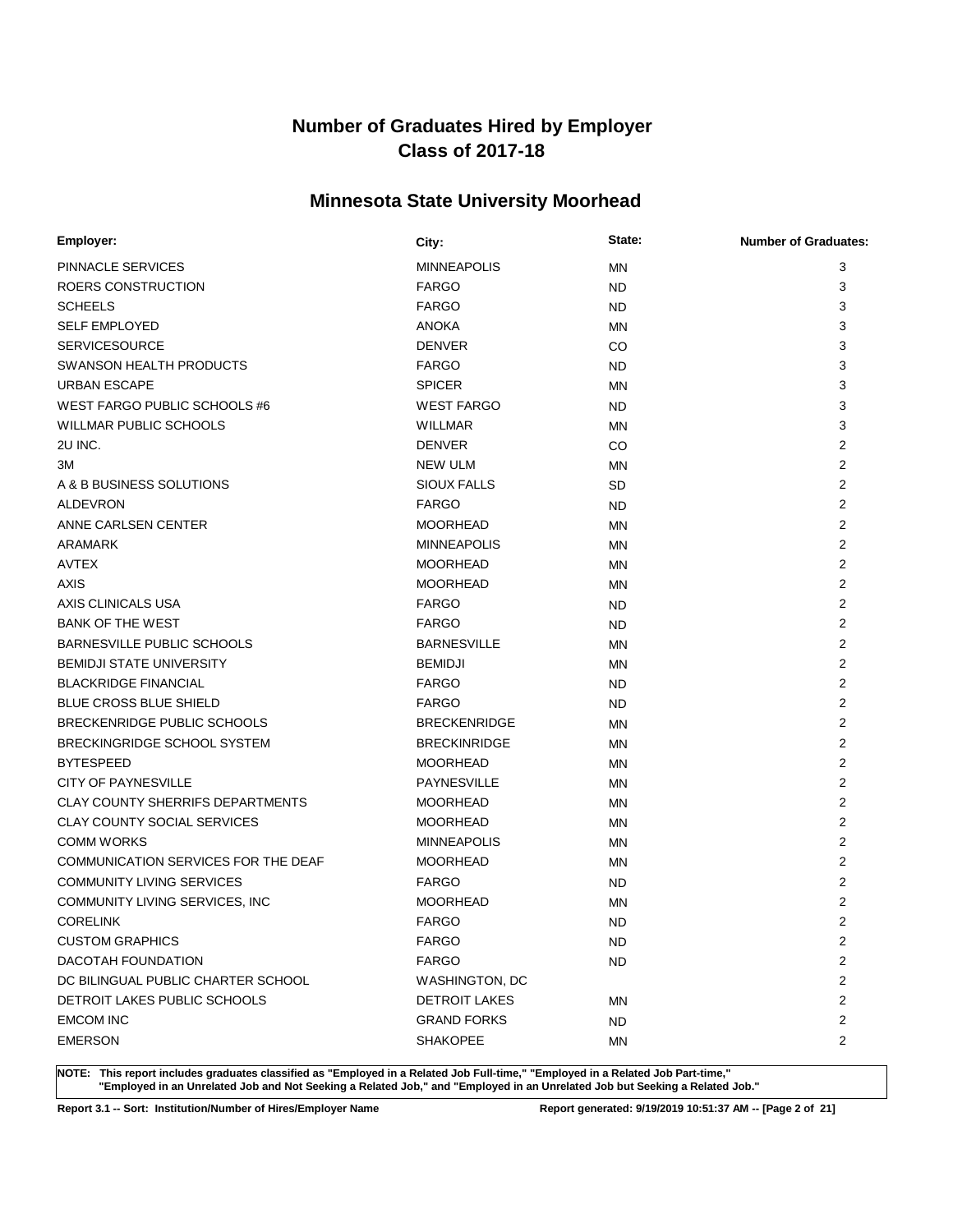# **Minnesota State University Moorhead**

| <b>Employer:</b>                        | City:                | State:    | <b>Number of Graduates:</b> |
|-----------------------------------------|----------------------|-----------|-----------------------------|
| <b>PINNACLE SERVICES</b>                | <b>MINNEAPOLIS</b>   | <b>MN</b> | 3                           |
| ROERS CONSTRUCTION                      | <b>FARGO</b>         | <b>ND</b> | 3                           |
| <b>SCHEELS</b>                          | <b>FARGO</b>         | <b>ND</b> | 3                           |
| <b>SELF EMPLOYED</b>                    | <b>ANOKA</b>         | <b>MN</b> | 3                           |
| <b>SERVICESOURCE</b>                    | <b>DENVER</b>        | CO.       | 3                           |
| SWANSON HEALTH PRODUCTS                 | <b>FARGO</b>         | <b>ND</b> | 3                           |
| <b>URBAN ESCAPE</b>                     | <b>SPICER</b>        | MN        | 3                           |
| WEST FARGO PUBLIC SCHOOLS #6            | <b>WEST FARGO</b>    | <b>ND</b> | 3                           |
| <b>WILLMAR PUBLIC SCHOOLS</b>           | <b>WILLMAR</b>       | MN        | 3                           |
| 2U INC.                                 | <b>DENVER</b>        | <b>CO</b> | $\overline{2}$              |
| ЗM                                      | <b>NEW ULM</b>       | MN        | 2                           |
| A & B BUSINESS SOLUTIONS                | <b>SIOUX FALLS</b>   | <b>SD</b> | $\overline{2}$              |
| <b>ALDEVRON</b>                         | <b>FARGO</b>         | <b>ND</b> | 2                           |
| ANNE CARLSEN CENTER                     | <b>MOORHEAD</b>      | <b>MN</b> | $\overline{2}$              |
| <b>ARAMARK</b>                          | <b>MINNEAPOLIS</b>   | MN        | 2                           |
| <b>AVTEX</b>                            | <b>MOORHEAD</b>      | <b>MN</b> | 2                           |
| AXIS                                    | <b>MOORHEAD</b>      | <b>MN</b> | 2                           |
| AXIS CLINICALS USA                      | <b>FARGO</b>         | ND        | 2                           |
| <b>BANK OF THE WEST</b>                 | <b>FARGO</b>         | <b>ND</b> | 2                           |
| BARNESVILLE PUBLIC SCHOOLS              | <b>BARNESVILLE</b>   | <b>MN</b> | 2                           |
| <b>BEMIDJI STATE UNIVERSITY</b>         | <b>BEMIDJI</b>       | <b>MN</b> | $\overline{2}$              |
| <b>BLACKRIDGE FINANCIAL</b>             | <b>FARGO</b>         | <b>ND</b> | 2                           |
| <b>BLUE CROSS BLUE SHIELD</b>           | <b>FARGO</b>         | <b>ND</b> | $\overline{2}$              |
| BRECKENRIDGE PUBLIC SCHOOLS             | <b>BRECKENRIDGE</b>  | <b>MN</b> | 2                           |
| BRECKINGRIDGE SCHOOL SYSTEM             | <b>BRECKINRIDGE</b>  | <b>MN</b> | $\overline{2}$              |
| <b>BYTESPEED</b>                        | <b>MOORHEAD</b>      | MN        | 2                           |
| <b>CITY OF PAYNESVILLE</b>              | <b>PAYNESVILLE</b>   | MN        | $\overline{2}$              |
| <b>CLAY COUNTY SHERRIFS DEPARTMENTS</b> | <b>MOORHEAD</b>      | MN        | 2                           |
| <b>CLAY COUNTY SOCIAL SERVICES</b>      | <b>MOORHEAD</b>      | <b>MN</b> | 2                           |
| <b>COMM WORKS</b>                       | <b>MINNEAPOLIS</b>   | <b>MN</b> | $\overline{2}$              |
| COMMUNICATION SERVICES FOR THE DEAF     | <b>MOORHEAD</b>      | MN        | 2                           |
| <b>COMMUNITY LIVING SERVICES</b>        | <b>FARGO</b>         | ND        | 2                           |
| COMMUNITY LIVING SERVICES, INC          | <b>MOORHEAD</b>      | <b>MN</b> | 2                           |
| <b>CORELINK</b>                         | <b>FARGO</b>         | <b>ND</b> | $\overline{2}$              |
| <b>CUSTOM GRAPHICS</b>                  | <b>FARGO</b>         | <b>ND</b> | 2                           |
| DACOTAH FOUNDATION                      | <b>FARGO</b>         | ND        | $\overline{2}$              |
| DC BILINGUAL PUBLIC CHARTER SCHOOL      | WASHINGTON, DC       |           | 2                           |
| DETROIT LAKES PUBLIC SCHOOLS            | <b>DETROIT LAKES</b> | ΜN        | $\overline{2}$              |
| <b>EMCOM INC</b>                        | <b>GRAND FORKS</b>   | ND        | $\overline{2}$              |
| <b>EMERSON</b>                          | <b>SHAKOPEE</b>      | ΜN        | $\overline{2}$              |
|                                         |                      |           |                             |

**NOTE: This report includes graduates classified as "Employed in a Related Job Full-time," "Employed in a Related Job Part-time," "Employed in an Unrelated Job and Not Seeking a Related Job," and "Employed in an Unrelated Job but Seeking a Related Job."**

**Report 3.1 -- Sort: Institution/Number of Hires/Employer Name Report generated: 9/19/2019 10:51:37 AM -- [Page 2 of 21]**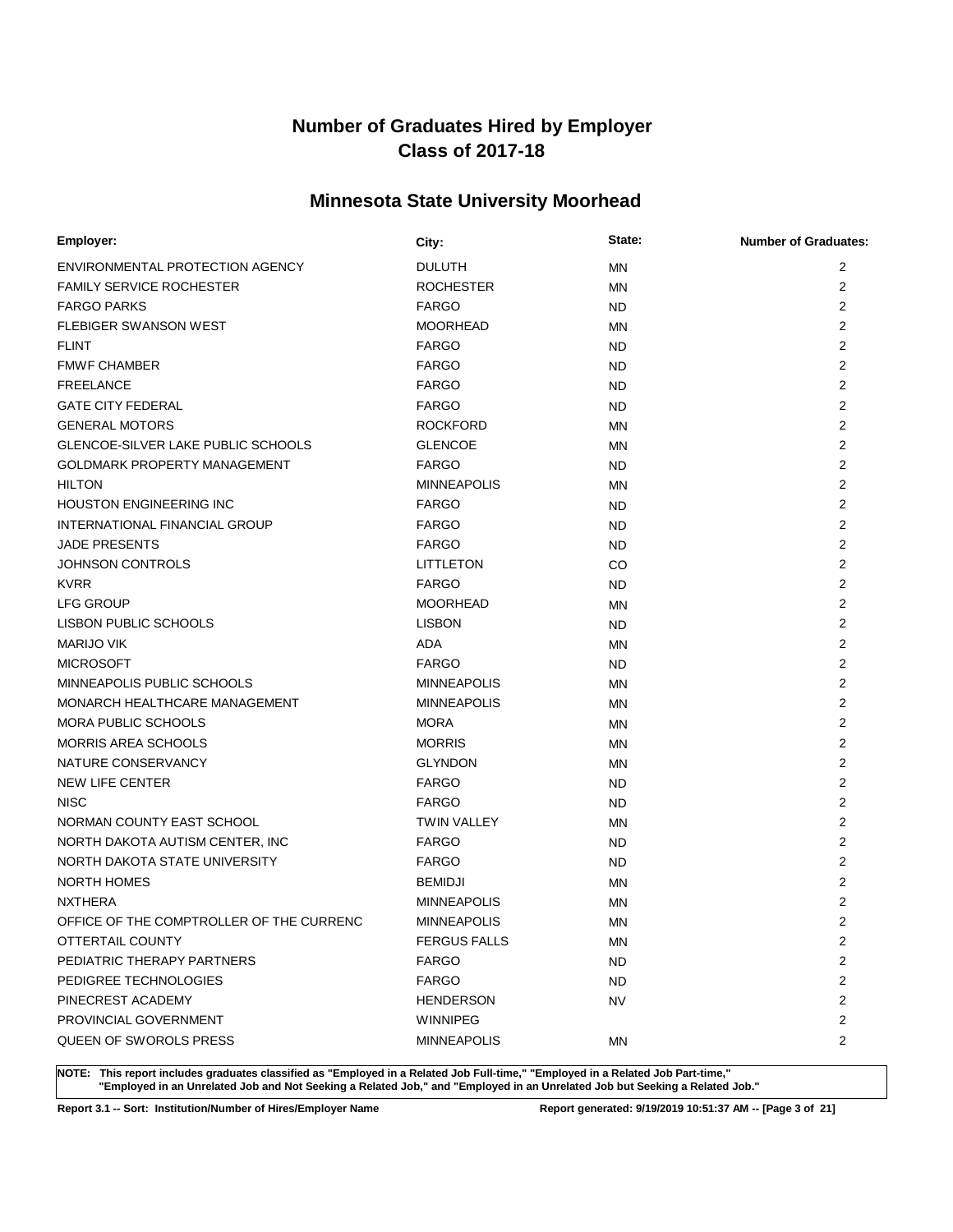# **Minnesota State University Moorhead**

| Employer:                                 | City:               | State:    | <b>Number of Graduates:</b> |
|-------------------------------------------|---------------------|-----------|-----------------------------|
| ENVIRONMENTAL PROTECTION AGENCY           | <b>DULUTH</b>       | <b>MN</b> | 2                           |
| <b>FAMILY SERVICE ROCHESTER</b>           | <b>ROCHESTER</b>    | MN        | 2                           |
| <b>FARGO PARKS</b>                        | <b>FARGO</b>        | <b>ND</b> | 2                           |
| <b>FLEBIGER SWANSON WEST</b>              | <b>MOORHEAD</b>     | MN        | 2                           |
| <b>FLINT</b>                              | <b>FARGO</b>        | <b>ND</b> | 2                           |
| <b>FMWF CHAMBER</b>                       | <b>FARGO</b>        | ND.       | 2                           |
| <b>FREELANCE</b>                          | <b>FARGO</b>        | <b>ND</b> | 2                           |
| <b>GATE CITY FEDERAL</b>                  | <b>FARGO</b>        | <b>ND</b> | 2                           |
| <b>GENERAL MOTORS</b>                     | <b>ROCKFORD</b>     | <b>MN</b> | $\overline{2}$              |
| <b>GLENCOE-SILVER LAKE PUBLIC SCHOOLS</b> | <b>GLENCOE</b>      | <b>MN</b> | $\overline{2}$              |
| <b>GOLDMARK PROPERTY MANAGEMENT</b>       | <b>FARGO</b>        | <b>ND</b> | $\overline{2}$              |
| <b>HILTON</b>                             | <b>MINNEAPOLIS</b>  | ΜN        | 2                           |
| <b>HOUSTON ENGINEERING INC</b>            | <b>FARGO</b>        | ND.       | 2                           |
| INTERNATIONAL FINANCIAL GROUP             | <b>FARGO</b>        | ND        | 2                           |
| <b>JADE PRESENTS</b>                      | <b>FARGO</b>        | ND        | $\overline{2}$              |
| <b>JOHNSON CONTROLS</b>                   | <b>LITTLETON</b>    | CO        | 2                           |
| <b>KVRR</b>                               | <b>FARGO</b>        | <b>ND</b> | $\overline{2}$              |
| <b>LFG GROUP</b>                          | <b>MOORHEAD</b>     | <b>MN</b> | 2                           |
| <b>LISBON PUBLIC SCHOOLS</b>              | <b>LISBON</b>       | <b>ND</b> | 2                           |
| <b>MARIJO VIK</b>                         | <b>ADA</b>          | MN        | 2                           |
| <b>MICROSOFT</b>                          | <b>FARGO</b>        | <b>ND</b> | 2                           |
| MINNEAPOLIS PUBLIC SCHOOLS                | <b>MINNEAPOLIS</b>  | ΜN        | 2                           |
| MONARCH HEALTHCARE MANAGEMENT             | <b>MINNEAPOLIS</b>  | ΜN        | $\overline{2}$              |
| <b>MORA PUBLIC SCHOOLS</b>                | <b>MORA</b>         | MN        | 2                           |
| <b>MORRIS AREA SCHOOLS</b>                | <b>MORRIS</b>       | MN        | $\overline{2}$              |
| NATURE CONSERVANCY                        | <b>GLYNDON</b>      | <b>MN</b> | 2                           |
| NEW LIFE CENTER                           | <b>FARGO</b>        | <b>ND</b> | $\overline{2}$              |
| <b>NISC</b>                               | <b>FARGO</b>        | <b>ND</b> | 2                           |
| NORMAN COUNTY EAST SCHOOL                 | <b>TWIN VALLEY</b>  | ΜN        | 2                           |
| NORTH DAKOTA AUTISM CENTER, INC           | <b>FARGO</b>        | ND        | 2                           |
| NORTH DAKOTA STATE UNIVERSITY             | <b>FARGO</b>        | ND        | $\overline{2}$              |
| <b>NORTH HOMES</b>                        | <b>BEMIDJI</b>      | MN        | 2                           |
| <b>NXTHERA</b>                            | <b>MINNEAPOLIS</b>  | MN        | $\overline{2}$              |
| OFFICE OF THE COMPTROLLER OF THE CURRENC  | <b>MINNEAPOLIS</b>  | MN        | $\overline{2}$              |
| OTTERTAIL COUNTY                          | <b>FERGUS FALLS</b> | МN        | 2                           |
| PEDIATRIC THERAPY PARTNERS                | <b>FARGO</b>        | <b>ND</b> | 2                           |
| PEDIGREE TECHNOLOGIES                     | <b>FARGO</b>        | ND        | 2                           |
| PINECREST ACADEMY                         | <b>HENDERSON</b>    | NV        | 2                           |
| PROVINCIAL GOVERNMENT                     | WINNIPEG            |           | 2                           |
| QUEEN OF SWOROLS PRESS                    | <b>MINNEAPOLIS</b>  | MN        | 2                           |

**NOTE: This report includes graduates classified as "Employed in a Related Job Full-time," "Employed in a Related Job Part-time," "Employed in an Unrelated Job and Not Seeking a Related Job," and "Employed in an Unrelated Job but Seeking a Related Job."**

**Report 3.1 -- Sort: Institution/Number of Hires/Employer Name Report generated: 9/19/2019 10:51:37 AM -- [Page 3 of 21]**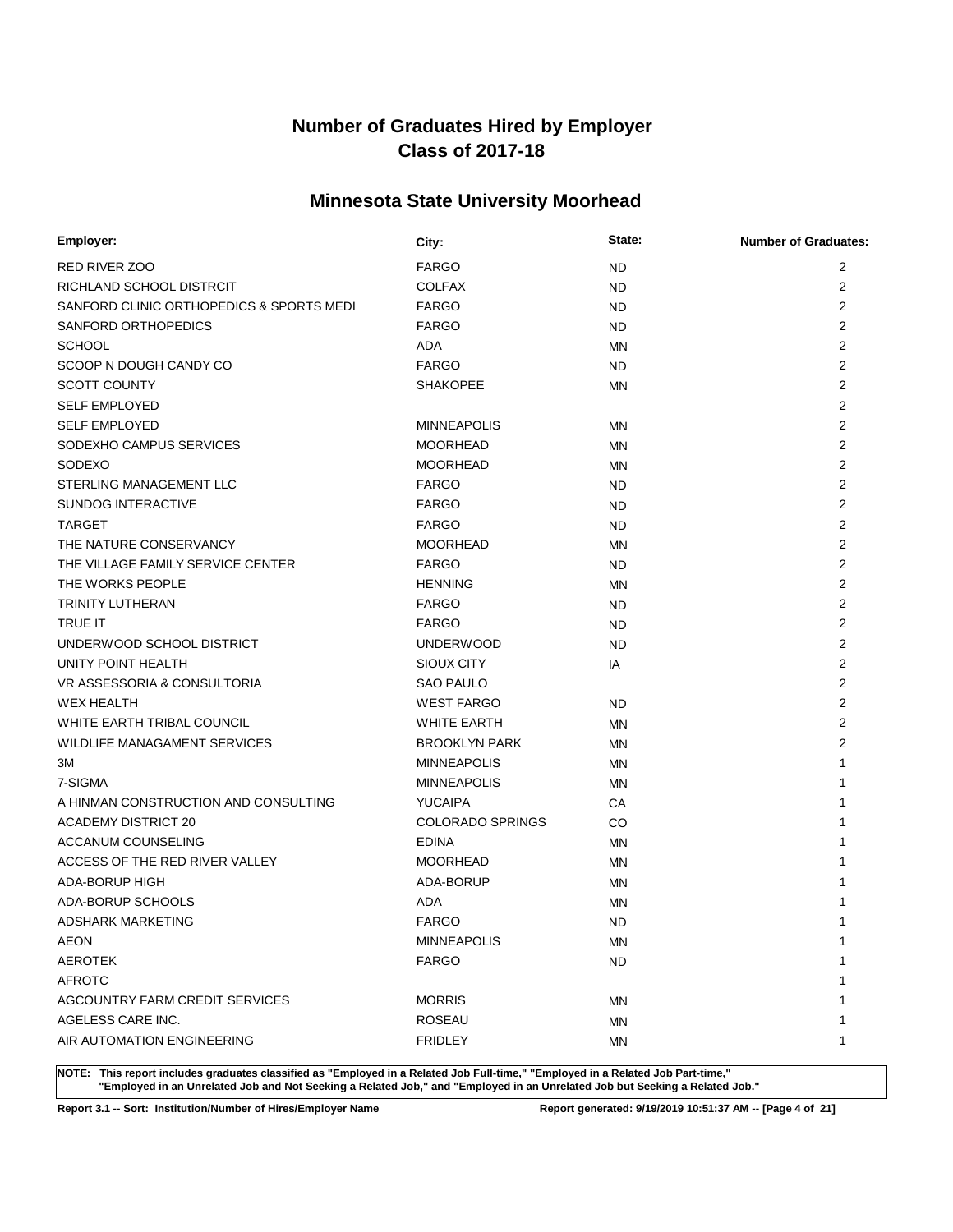# **Minnesota State University Moorhead**

| Employer:                                | City:                   | State:    | <b>Number of Graduates:</b> |
|------------------------------------------|-------------------------|-----------|-----------------------------|
| <b>RED RIVER ZOO</b>                     | <b>FARGO</b>            | ND        | 2                           |
| RICHLAND SCHOOL DISTRCIT                 | <b>COLFAX</b>           | ND.       | $\overline{2}$              |
| SANFORD CLINIC ORTHOPEDICS & SPORTS MEDI | <b>FARGO</b>            | ND        | $\overline{2}$              |
| SANFORD ORTHOPEDICS                      | <b>FARGO</b>            | ND.       | $\overline{2}$              |
| <b>SCHOOL</b>                            | ADA                     | ΜN        | $\overline{2}$              |
| SCOOP N DOUGH CANDY CO                   | <b>FARGO</b>            | <b>ND</b> | $\overline{2}$              |
| <b>SCOTT COUNTY</b>                      | <b>SHAKOPEE</b>         | ΜN        | $\overline{2}$              |
| <b>SELF EMPLOYED</b>                     |                         |           | 2                           |
| <b>SELF EMPLOYED</b>                     | <b>MINNEAPOLIS</b>      | ΜN        | $\overline{2}$              |
| SODEXHO CAMPUS SERVICES                  | <b>MOORHEAD</b>         | ΜN        | $\overline{2}$              |
| <b>SODEXO</b>                            | <b>MOORHEAD</b>         | ΜN        | $\overline{2}$              |
| STERLING MANAGEMENT LLC                  | <b>FARGO</b>            | ND        | $\overline{2}$              |
| <b>SUNDOG INTERACTIVE</b>                | <b>FARGO</b>            | ND.       | $\overline{2}$              |
| <b>TARGET</b>                            | <b>FARGO</b>            | ND.       | $\overline{2}$              |
| THE NATURE CONSERVANCY                   | <b>MOORHEAD</b>         | ΜN        | $\overline{2}$              |
| THE VILLAGE FAMILY SERVICE CENTER        | <b>FARGO</b>            | ND        | 2                           |
| THE WORKS PEOPLE                         | <b>HENNING</b>          | ΜN        | $\overline{2}$              |
| TRINITY LUTHERAN                         | <b>FARGO</b>            | ND        | $\overline{2}$              |
| <b>TRUE IT</b>                           | <b>FARGO</b>            | ND        | $\overline{2}$              |
| UNDERWOOD SCHOOL DISTRICT                | <b>UNDERWOOD</b>        | ND        | $\overline{2}$              |
| UNITY POINT HEALTH                       | SIOUX CITY              | IA        | $\overline{2}$              |
| VR ASSESSORIA & CONSULTORIA              | <b>SAO PAULO</b>        |           | 2                           |
| <b>WEX HEALTH</b>                        | <b>WEST FARGO</b>       | ND        | $\overline{2}$              |
| WHITE EARTH TRIBAL COUNCIL               | <b>WHITE EARTH</b>      | ΜN        | 2                           |
| WILDLIFE MANAGAMENT SERVICES             | <b>BROOKLYN PARK</b>    | ΜN        | 2                           |
| ЗM                                       | <b>MINNEAPOLIS</b>      | ΜN        | 1                           |
| 7-SIGMA                                  | <b>MINNEAPOLIS</b>      | ΜN        | 1                           |
| A HINMAN CONSTRUCTION AND CONSULTING     | <b>YUCAIPA</b>          | СA        | 1                           |
| <b>ACADEMY DISTRICT 20</b>               | <b>COLORADO SPRINGS</b> | CO        | 1                           |
| ACCANUM COUNSELING                       | <b>EDINA</b>            | ΜN        | 1                           |
| ACCESS OF THE RED RIVER VALLEY           | <b>MOORHEAD</b>         | ΜN        | 1                           |
| <b>ADA-BORUP HIGH</b>                    | ADA-BORUP               | ΜN        | 1                           |
| ADA-BORUP SCHOOLS                        | <b>ADA</b>              | MN        | 1                           |
| <b>ADSHARK MARKETING</b>                 | <b>FARGO</b>            | ND        | 1                           |
| <b>AEON</b>                              | <b>MINNEAPOLIS</b>      | ΜN        | 1                           |
| <b>AEROTEK</b>                           | <b>FARGO</b>            | <b>ND</b> | 1                           |
| <b>AFROTC</b>                            |                         |           | 1                           |
| AGCOUNTRY FARM CREDIT SERVICES           | <b>MORRIS</b>           | ΜN        | 1                           |
| AGELESS CARE INC.                        | <b>ROSEAU</b>           | ΜN        | 1                           |
| AIR AUTOMATION ENGINEERING               | <b>FRIDLEY</b>          | ΜN        | 1                           |

**NOTE: This report includes graduates classified as "Employed in a Related Job Full-time," "Employed in a Related Job Part-time," "Employed in an Unrelated Job and Not Seeking a Related Job," and "Employed in an Unrelated Job but Seeking a Related Job."**

**Report 3.1 -- Sort: Institution/Number of Hires/Employer Name Report generated: 9/19/2019 10:51:37 AM -- [Page 4 of 21]**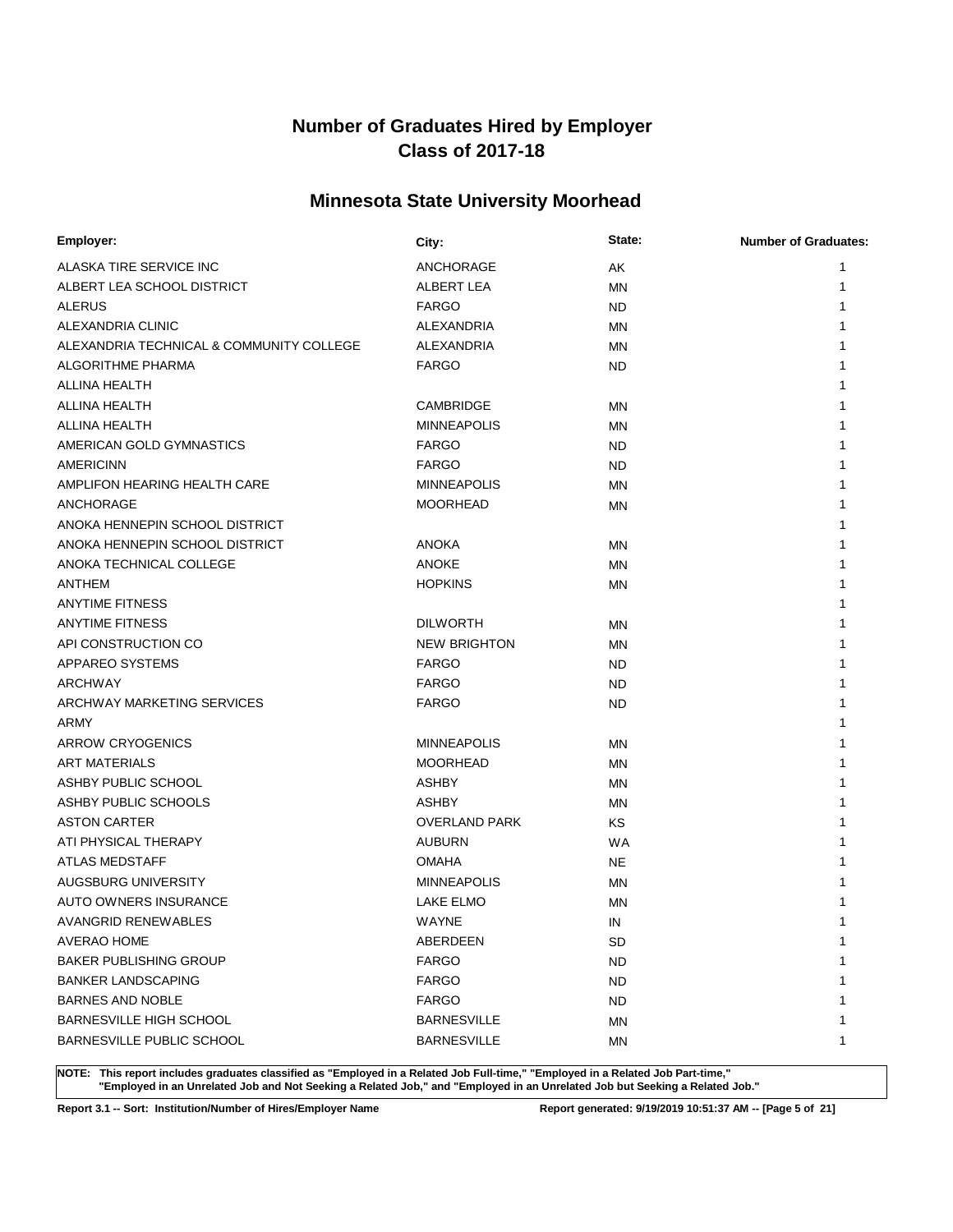# **Minnesota State University Moorhead**

| Employer:                                | City:                | State:    | <b>Number of Graduates:</b> |
|------------------------------------------|----------------------|-----------|-----------------------------|
| ALASKA TIRE SERVICE INC                  | ANCHORAGE            | AK        | 1                           |
| ALBERT LEA SCHOOL DISTRICT               | ALBERT LEA           | MN        | 1                           |
| <b>ALERUS</b>                            | <b>FARGO</b>         | <b>ND</b> | 1                           |
| ALEXANDRIA CLINIC                        | <b>ALEXANDRIA</b>    | ΜN        |                             |
| ALEXANDRIA TECHNICAL & COMMUNITY COLLEGE | ALEXANDRIA           | ΜN        |                             |
| <b>ALGORITHME PHARMA</b>                 | <b>FARGO</b>         | ND.       |                             |
| ALLINA HEALTH                            |                      |           |                             |
| ALLINA HEALTH                            | <b>CAMBRIDGE</b>     | ΜN        | 1                           |
| ALLINA HEALTH                            | <b>MINNEAPOLIS</b>   | ΜN        |                             |
| AMERICAN GOLD GYMNASTICS                 | <b>FARGO</b>         | <b>ND</b> |                             |
| AMERICINN                                | <b>FARGO</b>         | <b>ND</b> |                             |
| AMPLIFON HEARING HEALTH CARE             | <b>MINNEAPOLIS</b>   | ΜN        |                             |
| ANCHORAGE                                | <b>MOORHEAD</b>      | ΜN        |                             |
| ANOKA HENNEPIN SCHOOL DISTRICT           |                      |           | 1                           |
| ANOKA HENNEPIN SCHOOL DISTRICT           | <b>ANOKA</b>         | ΜN        | 1                           |
| ANOKA TECHNICAL COLLEGE                  | <b>ANOKE</b>         | ΜN        | 1                           |
| <b>ANTHEM</b>                            | <b>HOPKINS</b>       | MN        | 1                           |
| <b>ANYTIME FITNESS</b>                   |                      |           | 1                           |
| <b>ANYTIME FITNESS</b>                   | <b>DILWORTH</b>      | ΜN        | 1                           |
| API CONSTRUCTION CO                      | <b>NEW BRIGHTON</b>  | ΜN        | 1                           |
| APPAREO SYSTEMS                          | <b>FARGO</b>         | ND        | 1                           |
| <b>ARCHWAY</b>                           | <b>FARGO</b>         | <b>ND</b> | 1                           |
| ARCHWAY MARKETING SERVICES               | <b>FARGO</b>         | ND        | 1                           |
| ARMY                                     |                      |           | 1                           |
| <b>ARROW CRYOGENICS</b>                  | <b>MINNEAPOLIS</b>   | ΜN        |                             |
| <b>ART MATERIALS</b>                     | <b>MOORHEAD</b>      | MN        | 1                           |
| ASHBY PUBLIC SCHOOL                      | <b>ASHBY</b>         | MN        |                             |
| ASHBY PUBLIC SCHOOLS                     | <b>ASHBY</b>         | ΜN        | 1                           |
| <b>ASTON CARTER</b>                      | <b>OVERLAND PARK</b> | <b>KS</b> | 1                           |
| ATI PHYSICAL THERAPY                     | <b>AUBURN</b>        | <b>WA</b> | 1                           |
| <b>ATLAS MEDSTAFF</b>                    | <b>OMAHA</b>         | <b>NE</b> |                             |
| AUGSBURG UNIVERSITY                      | <b>MINNEAPOLIS</b>   | <b>MN</b> |                             |
| <b>AUTO OWNERS INSURANCE</b>             | <b>LAKE ELMO</b>     | MN        |                             |
| <b>AVANGRID RENEWABLES</b>               | WAYNE                | IN        | 1                           |
| AVERAO HOME                              | ABERDEEN             | SD        | 1                           |
| <b>BAKER PUBLISHING GROUP</b>            | <b>FARGO</b>         | <b>ND</b> | 1                           |
| <b>BANKER LANDSCAPING</b>                | <b>FARGO</b>         | ND        | 1                           |
| <b>BARNES AND NOBLE</b>                  | <b>FARGO</b>         | ND        | 1                           |
| BARNESVILLE HIGH SCHOOL                  | <b>BARNESVILLE</b>   | ΜN        | 1                           |
| <b>BARNESVILLE PUBLIC SCHOOL</b>         | <b>BARNESVILLE</b>   | ΜN        | 1                           |

**NOTE: This report includes graduates classified as "Employed in a Related Job Full-time," "Employed in a Related Job Part-time," "Employed in an Unrelated Job and Not Seeking a Related Job," and "Employed in an Unrelated Job but Seeking a Related Job."**

**Report 3.1 -- Sort: Institution/Number of Hires/Employer Name Report generated: 9/19/2019 10:51:37 AM -- [Page 5 of 21]**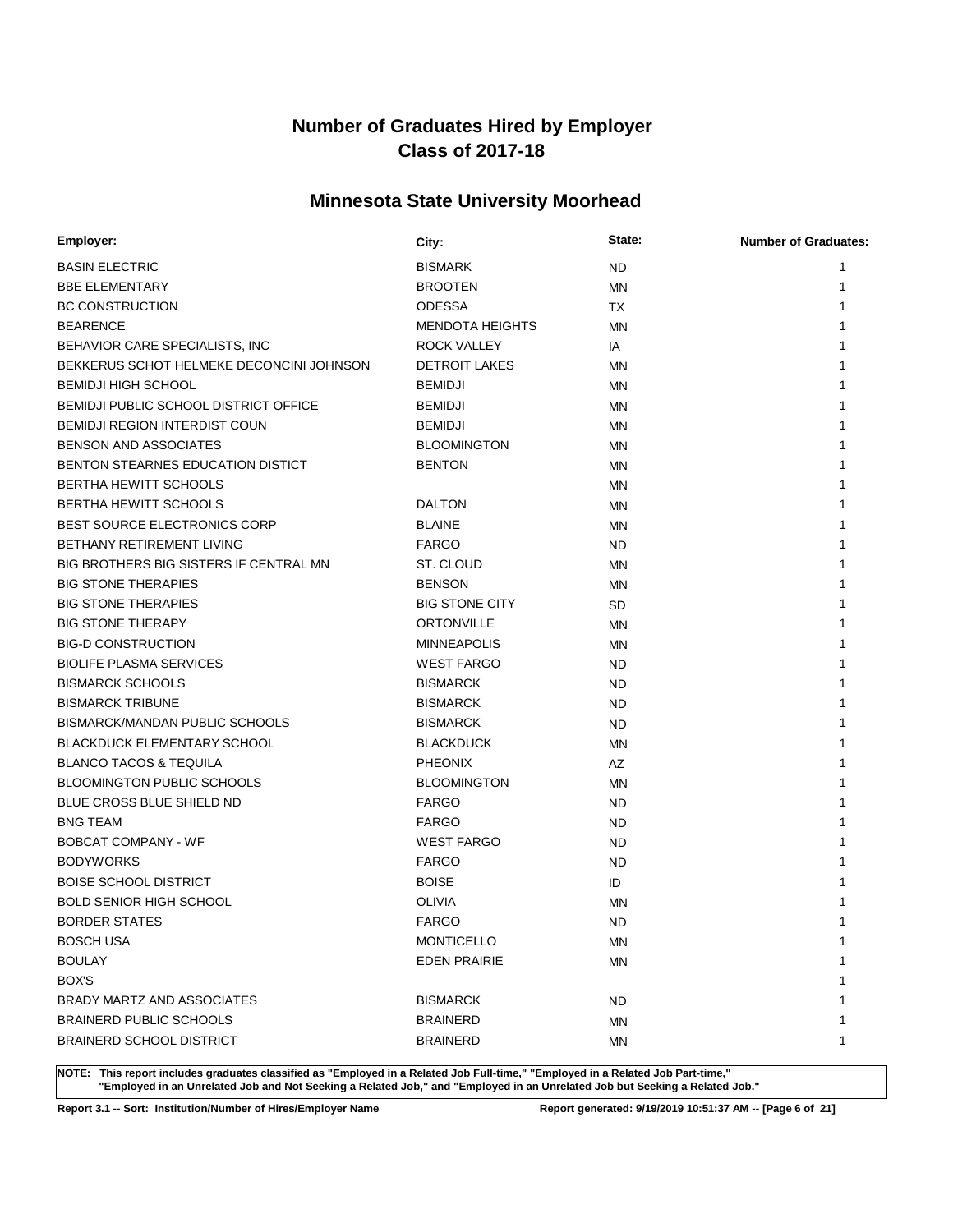# **Minnesota State University Moorhead**

| Employer:                                | City:                  | State:    | <b>Number of Graduates:</b> |
|------------------------------------------|------------------------|-----------|-----------------------------|
| <b>BASIN ELECTRIC</b>                    | <b>BISMARK</b>         | <b>ND</b> | 1                           |
| <b>BBE ELEMENTARY</b>                    | <b>BROOTEN</b>         | <b>MN</b> | 1                           |
| <b>BC CONSTRUCTION</b>                   | <b>ODESSA</b>          | <b>TX</b> | 1                           |
| <b>BEARENCE</b>                          | <b>MENDOTA HEIGHTS</b> | MN        |                             |
| BEHAVIOR CARE SPECIALISTS, INC           | <b>ROCK VALLEY</b>     | IA        |                             |
| BEKKERUS SCHOT HELMEKE DECONCINI JOHNSON | <b>DETROIT LAKES</b>   | <b>MN</b> | 1                           |
| <b>BEMIDJI HIGH SCHOOL</b>               | <b>BEMIDJI</b>         | MN        | 1                           |
| BEMIDJI PUBLIC SCHOOL DISTRICT OFFICE    | <b>BEMIDJI</b>         | ΜN        | 1                           |
| <b>BEMIDJI REGION INTERDIST COUN</b>     | <b>BEMIDJI</b>         | MN        | 1                           |
| <b>BENSON AND ASSOCIATES</b>             | <b>BLOOMINGTON</b>     | ΜN        | 1                           |
| BENTON STEARNES EDUCATION DISTICT        | <b>BENTON</b>          | MN        | 1                           |
| <b>BERTHA HEWITT SCHOOLS</b>             |                        | ΜN        | 1                           |
| <b>BERTHA HEWITT SCHOOLS</b>             | <b>DALTON</b>          | MN        | 1                           |
| <b>BEST SOURCE ELECTRONICS CORP</b>      | <b>BLAINE</b>          | ΜN        | 1                           |
| BETHANY RETIREMENT LIVING                | <b>FARGO</b>           | <b>ND</b> | 1                           |
| BIG BROTHERS BIG SISTERS IF CENTRAL MN   | ST. CLOUD              | MN        | 1                           |
| <b>BIG STONE THERAPIES</b>               | <b>BENSON</b>          | MN        | 1                           |
| <b>BIG STONE THERAPIES</b>               | <b>BIG STONE CITY</b>  | SD        | 1                           |
| <b>BIG STONE THERAPY</b>                 | <b>ORTONVILLE</b>      | MN        | 1                           |
| <b>BIG-D CONSTRUCTION</b>                | <b>MINNEAPOLIS</b>     | MN        | 1                           |
| <b>BIOLIFE PLASMA SERVICES</b>           | <b>WEST FARGO</b>      | <b>ND</b> | 1                           |
| <b>BISMARCK SCHOOLS</b>                  | <b>BISMARCK</b>        | <b>ND</b> | 1                           |
| <b>BISMARCK TRIBUNE</b>                  | <b>BISMARCK</b>        | <b>ND</b> | 1                           |
| BISMARCK/MANDAN PUBLIC SCHOOLS           | <b>BISMARCK</b>        | <b>ND</b> | 1                           |
| <b>BLACKDUCK ELEMENTARY SCHOOL</b>       | <b>BLACKDUCK</b>       | MN        | 1                           |
| <b>BLANCO TACOS &amp; TEQUILA</b>        | <b>PHEONIX</b>         | AZ        | 1                           |
| <b>BLOOMINGTON PUBLIC SCHOOLS</b>        | <b>BLOOMINGTON</b>     | MN        | 1                           |
| BLUE CROSS BLUE SHIELD ND                | <b>FARGO</b>           | <b>ND</b> |                             |
| <b>BNG TEAM</b>                          | <b>FARGO</b>           | <b>ND</b> | 1                           |
| <b>BOBCAT COMPANY - WF</b>               | <b>WEST FARGO</b>      | <b>ND</b> | 1                           |
| <b>BODYWORKS</b>                         | <b>FARGO</b>           | <b>ND</b> | 1                           |
| <b>BOISE SCHOOL DISTRICT</b>             | <b>BOISE</b>           | ID        |                             |
| <b>BOLD SENIOR HIGH SCHOOL</b>           | <b>OLIVIA</b>          | MN        |                             |
| <b>BORDER STATES</b>                     | <b>FARGO</b>           | <b>ND</b> | 1                           |
| <b>BOSCH USA</b>                         | <b>MONTICELLO</b>      | ΜN        | 1                           |
| <b>BOULAY</b>                            | <b>EDEN PRAIRIE</b>    | <b>MN</b> | 1                           |
| BOX'S                                    |                        |           | 1                           |
| BRADY MARTZ AND ASSOCIATES               | <b>BISMARCK</b>        | <b>ND</b> | 1                           |
| <b>BRAINERD PUBLIC SCHOOLS</b>           | <b>BRAINERD</b>        | MN        | 1                           |
| <b>BRAINERD SCHOOL DISTRICT</b>          | <b>BRAINERD</b>        | MN        | 1                           |

**NOTE: This report includes graduates classified as "Employed in a Related Job Full-time," "Employed in a Related Job Part-time," "Employed in an Unrelated Job and Not Seeking a Related Job," and "Employed in an Unrelated Job but Seeking a Related Job."**

**Report 3.1 -- Sort: Institution/Number of Hires/Employer Name Report generated: 9/19/2019 10:51:37 AM -- [Page 6 of 21]**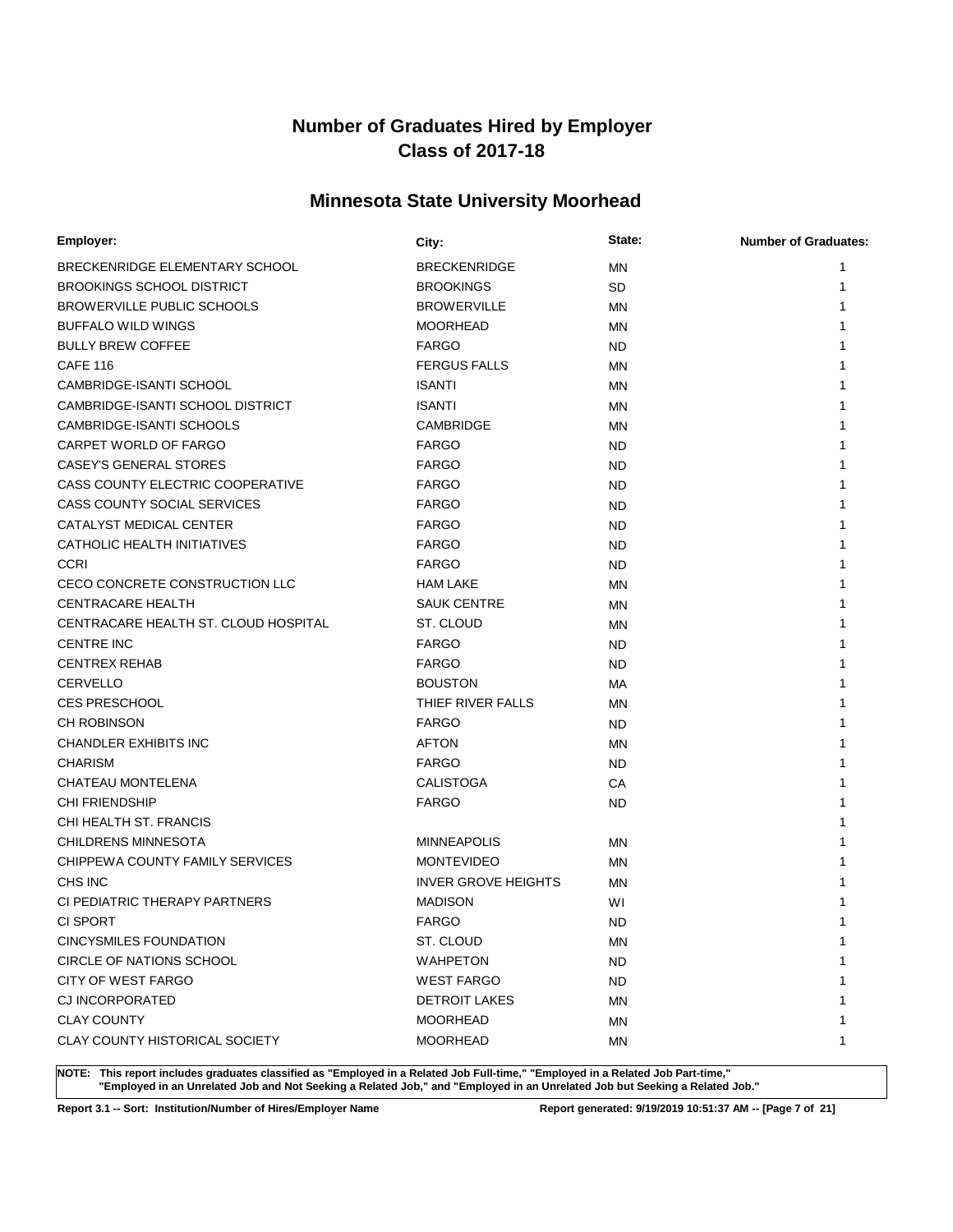# **Minnesota State University Moorhead**

| Employer:                            | City:                      | State:    | <b>Number of Graduates:</b> |
|--------------------------------------|----------------------------|-----------|-----------------------------|
| BRECKENRIDGE ELEMENTARY SCHOOL       | <b>BRECKENRIDGE</b>        | MN        | 1                           |
| <b>BROOKINGS SCHOOL DISTRICT</b>     | <b>BROOKINGS</b>           | <b>SD</b> | 1                           |
| <b>BROWERVILLE PUBLIC SCHOOLS</b>    | <b>BROWERVILLE</b>         | ΜN        | 1                           |
| <b>BUFFALO WILD WINGS</b>            | <b>MOORHEAD</b>            | ΜN        | 1                           |
| <b>BULLY BREW COFFEE</b>             | <b>FARGO</b>               | ND.       | 1                           |
| <b>CAFE 116</b>                      | <b>FERGUS FALLS</b>        | ΜN        | 1                           |
| CAMBRIDGE-ISANTI SCHOOL              | <b>ISANTI</b>              | ΜN        |                             |
| CAMBRIDGE-ISANTI SCHOOL DISTRICT     | <b>ISANTI</b>              | MN        | 1                           |
| CAMBRIDGE-ISANTI SCHOOLS             | CAMBRIDGE                  | MN        |                             |
| CARPET WORLD OF FARGO                | <b>FARGO</b>               | <b>ND</b> | 1                           |
| <b>CASEY'S GENERAL STORES</b>        | <b>FARGO</b>               | <b>ND</b> | 1                           |
| CASS COUNTY ELECTRIC COOPERATIVE     | <b>FARGO</b>               | <b>ND</b> | 1                           |
| CASS COUNTY SOCIAL SERVICES          | <b>FARGO</b>               | <b>ND</b> |                             |
| CATALYST MEDICAL CENTER              | <b>FARGO</b>               | <b>ND</b> |                             |
| CATHOLIC HEALTH INITIATIVES          | <b>FARGO</b>               | <b>ND</b> |                             |
| <b>CCRI</b>                          | <b>FARGO</b>               | <b>ND</b> |                             |
| CECO CONCRETE CONSTRUCTION LLC       | <b>HAM LAKE</b>            | MN        |                             |
| <b>CENTRACARE HEALTH</b>             | <b>SAUK CENTRE</b>         | <b>MN</b> | 1                           |
| CENTRACARE HEALTH ST. CLOUD HOSPITAL | ST. CLOUD                  | ΜN        |                             |
| <b>CENTRE INC</b>                    | <b>FARGO</b>               | ND        | 1                           |
| <b>CENTREX REHAB</b>                 | <b>FARGO</b>               | ND.       |                             |
| <b>CERVELLO</b>                      | <b>BOUSTON</b>             | МA        |                             |
| <b>CES PRESCHOOL</b>                 | THIEF RIVER FALLS          | ΜN        |                             |
| <b>CH ROBINSON</b>                   | <b>FARGO</b>               | ND.       |                             |
| <b>CHANDLER EXHIBITS INC</b>         | <b>AFTON</b>               | <b>MN</b> | 1                           |
| <b>CHARISM</b>                       | <b>FARGO</b>               | <b>ND</b> | 1                           |
| CHATEAU MONTELENA                    | <b>CALISTOGA</b>           | СA        | 1                           |
| <b>CHI FRIENDSHIP</b>                | <b>FARGO</b>               | <b>ND</b> |                             |
| CHI HEALTH ST. FRANCIS               |                            |           |                             |
| <b>CHILDRENS MINNESOTA</b>           | <b>MINNEAPOLIS</b>         | ΜN        |                             |
| CHIPPEWA COUNTY FAMILY SERVICES      | <b>MONTEVIDEO</b>          | ΜN        |                             |
| CHS INC                              | <b>INVER GROVE HEIGHTS</b> | ΜN        |                             |
| CI PEDIATRIC THERAPY PARTNERS        | <b>MADISON</b>             | WI        |                             |
| CI SPORT                             | <b>FARGO</b>               | <b>ND</b> | 1                           |
| <b>CINCYSMILES FOUNDATION</b>        | ST. CLOUD                  | ΜN        | 1                           |
| CIRCLE OF NATIONS SCHOOL             | <b>WAHPETON</b>            | <b>ND</b> | 1                           |
| CITY OF WEST FARGO                   | <b>WEST FARGO</b>          | <b>ND</b> |                             |
| <b>CJ INCORPORATED</b>               | <b>DETROIT LAKES</b>       | <b>MN</b> |                             |
| <b>CLAY COUNTY</b>                   | <b>MOORHEAD</b>            | ΜN        | 1                           |
| CLAY COUNTY HISTORICAL SOCIETY       | <b>MOORHEAD</b>            | ΜN        | 1                           |

**NOTE: This report includes graduates classified as "Employed in a Related Job Full-time," "Employed in a Related Job Part-time," "Employed in an Unrelated Job and Not Seeking a Related Job," and "Employed in an Unrelated Job but Seeking a Related Job."**

**Report 3.1 -- Sort: Institution/Number of Hires/Employer Name Report generated: 9/19/2019 10:51:37 AM -- [Page 7 of 21]**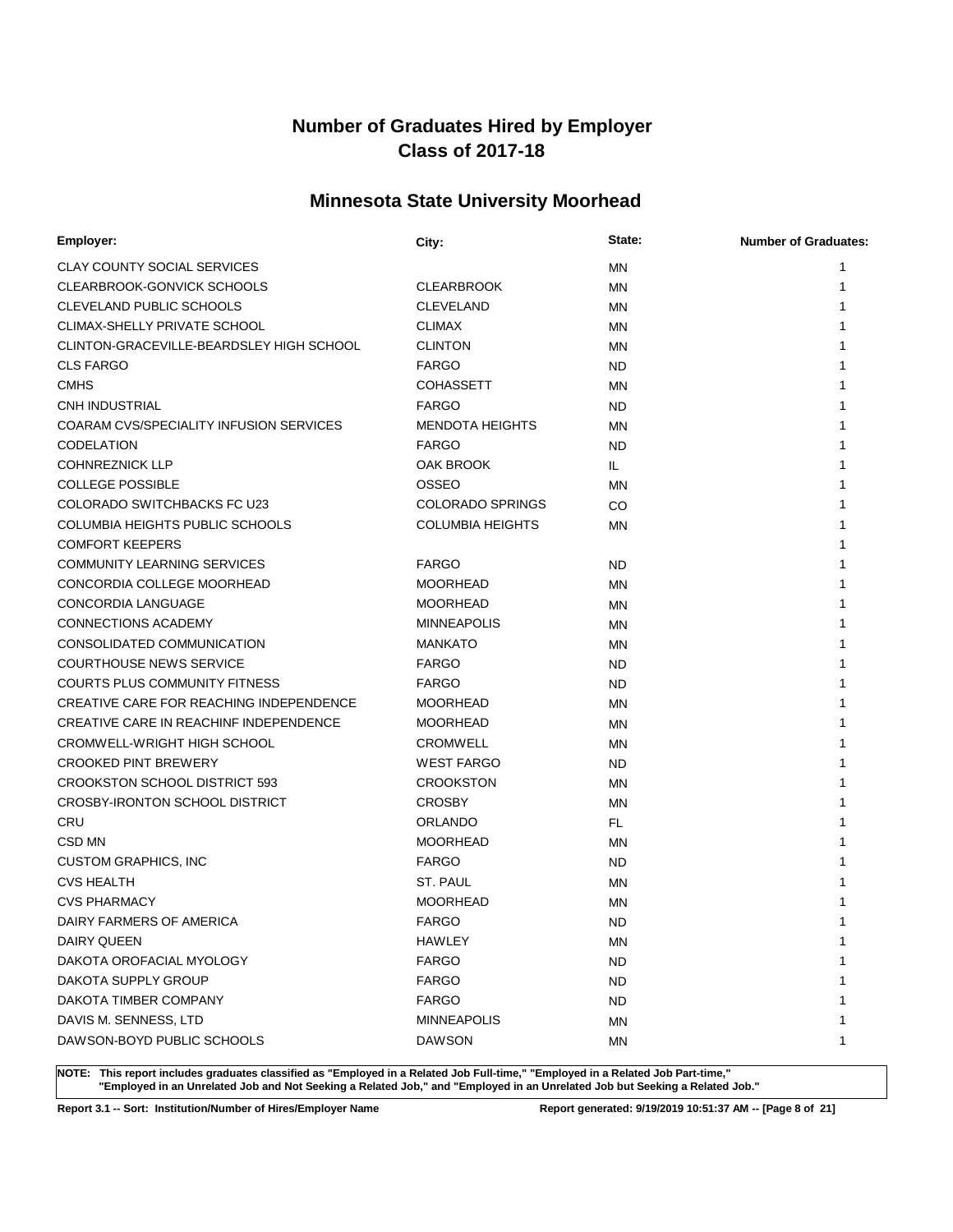# **Minnesota State University Moorhead**

| Employer:                                | City:                   | State:    | <b>Number of Graduates:</b> |
|------------------------------------------|-------------------------|-----------|-----------------------------|
| <b>CLAY COUNTY SOCIAL SERVICES</b>       |                         | ΜN        | 1                           |
| CLEARBROOK-GONVICK SCHOOLS               | <b>CLEARBROOK</b>       | <b>MN</b> | 1                           |
| CLEVELAND PUBLIC SCHOOLS                 | <b>CLEVELAND</b>        | MN        |                             |
| <b>CLIMAX-SHELLY PRIVATE SCHOOL</b>      | <b>CLIMAX</b>           | MN        |                             |
| CLINTON-GRACEVILLE-BEARDSLEY HIGH SCHOOL | <b>CLINTON</b>          | <b>MN</b> |                             |
| <b>CLS FARGO</b>                         | <b>FARGO</b>            | <b>ND</b> | 1                           |
| <b>CMHS</b>                              | <b>COHASSETT</b>        | ΜN        | 1                           |
| <b>CNH INDUSTRIAL</b>                    | <b>FARGO</b>            | ND        |                             |
| COARAM CVS/SPECIALITY INFUSION SERVICES  | <b>MENDOTA HEIGHTS</b>  | ΜN        |                             |
| <b>CODELATION</b>                        | <b>FARGO</b>            | ND        |                             |
| <b>COHNREZNICK LLP</b>                   | OAK BROOK               | IL.       |                             |
| <b>COLLEGE POSSIBLE</b>                  | OSSEO                   | ΜN        |                             |
| <b>COLORADO SWITCHBACKS FC U23</b>       | <b>COLORADO SPRINGS</b> | CO        | 1                           |
| COLUMBIA HEIGHTS PUBLIC SCHOOLS          | <b>COLUMBIA HEIGHTS</b> | ΜN        | 1                           |
| <b>COMFORT KEEPERS</b>                   |                         |           |                             |
| <b>COMMUNITY LEARNING SERVICES</b>       | <b>FARGO</b>            | ND.       |                             |
| CONCORDIA COLLEGE MOORHEAD               | <b>MOORHEAD</b>         | ΜN        |                             |
| <b>CONCORDIA LANGUAGE</b>                | <b>MOORHEAD</b>         | MN        |                             |
| <b>CONNECTIONS ACADEMY</b>               | <b>MINNEAPOLIS</b>      | <b>MN</b> |                             |
| CONSOLIDATED COMMUNICATION               | <b>MANKATO</b>          | ΜN        |                             |
| <b>COURTHOUSE NEWS SERVICE</b>           | <b>FARGO</b>            | <b>ND</b> | 1                           |
| <b>COURTS PLUS COMMUNITY FITNESS</b>     | <b>FARGO</b>            | <b>ND</b> |                             |
| CREATIVE CARE FOR REACHING INDEPENDENCE  | <b>MOORHEAD</b>         | ΜN        | 1                           |
| CREATIVE CARE IN REACHINF INDEPENDENCE   | <b>MOORHEAD</b>         | ΜN        |                             |
| CROMWELL-WRIGHT HIGH SCHOOL              | <b>CROMWELL</b>         | ΜN        |                             |
| <b>CROOKED PINT BREWERY</b>              | <b>WEST FARGO</b>       | <b>ND</b> |                             |
| <b>CROOKSTON SCHOOL DISTRICT 593</b>     | <b>CROOKSTON</b>        | MN        |                             |
| CROSBY-IRONTON SCHOOL DISTRICT           | <b>CROSBY</b>           | MN        |                             |
| CRU                                      | <b>ORLANDO</b>          | FL.       |                             |
| CSD MN                                   | <b>MOORHEAD</b>         | ΜN        |                             |
| <b>CUSTOM GRAPHICS, INC</b>              | <b>FARGO</b>            | ND        |                             |
| <b>CVS HEALTH</b>                        | ST. PAUL                | ΜN        |                             |
| <b>CVS PHARMACY</b>                      | <b>MOORHEAD</b>         | MN        |                             |
| DAIRY FARMERS OF AMERICA                 | <b>FARGO</b>            | <b>ND</b> | 1                           |
| DAIRY QUEEN                              | HAWLEY                  | ΜN        | 1                           |
| DAKOTA OROFACIAL MYOLOGY                 | <b>FARGO</b>            | <b>ND</b> | 1                           |
| DAKOTA SUPPLY GROUP                      | <b>FARGO</b>            | <b>ND</b> | 1                           |
| DAKOTA TIMBER COMPANY                    | <b>FARGO</b>            | ND        | 1                           |
| DAVIS M. SENNESS, LTD                    | <b>MINNEAPOLIS</b>      | ΜN        | 1                           |
| DAWSON-BOYD PUBLIC SCHOOLS               | <b>DAWSON</b>           | ΜN        | 1                           |

**NOTE: This report includes graduates classified as "Employed in a Related Job Full-time," "Employed in a Related Job Part-time," "Employed in an Unrelated Job and Not Seeking a Related Job," and "Employed in an Unrelated Job but Seeking a Related Job."**

**Report 3.1 -- Sort: Institution/Number of Hires/Employer Name Report generated: 9/19/2019 10:51:37 AM -- [Page 8 of 21]**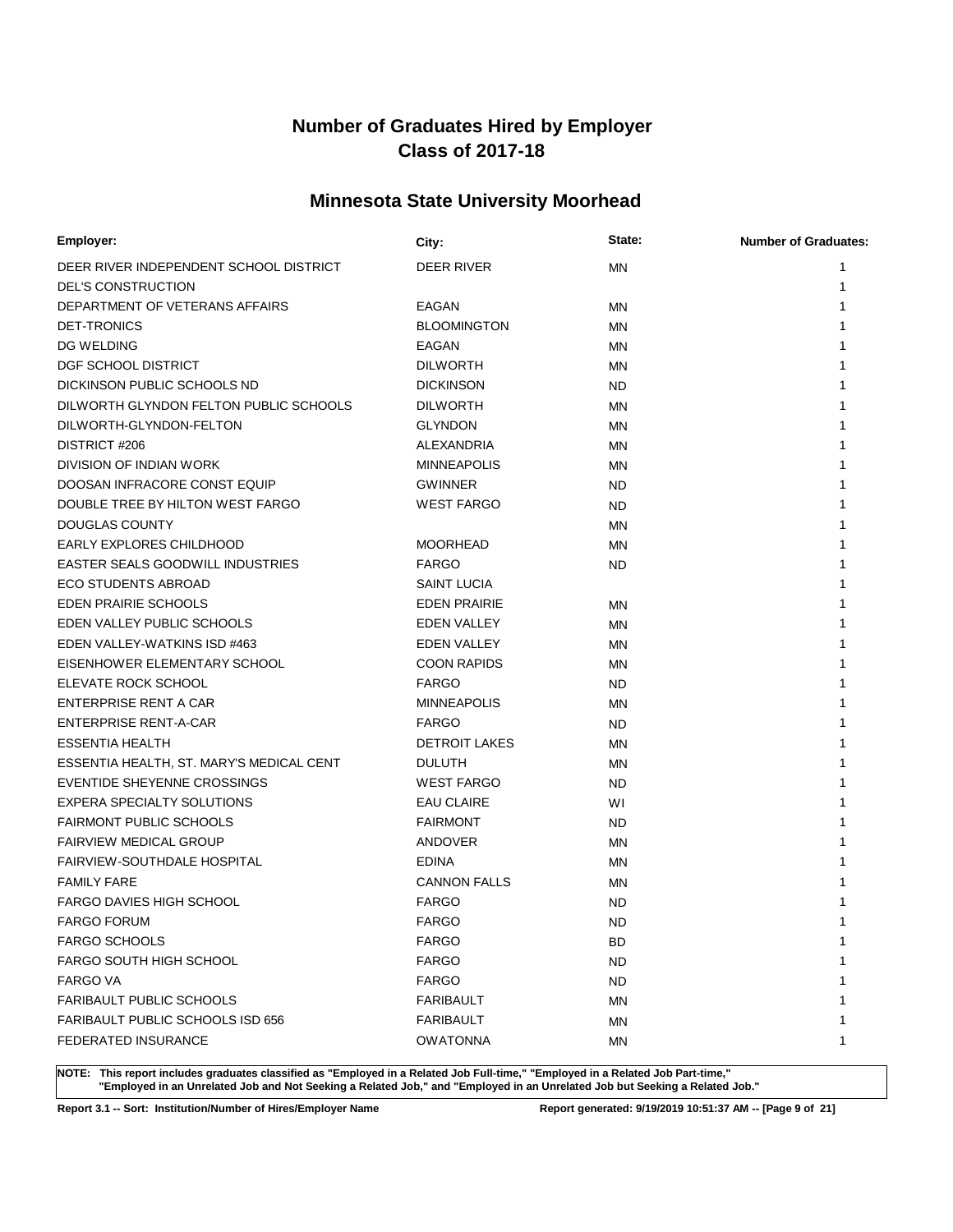# **Minnesota State University Moorhead**

| Employer:                                | City:                | State:    | <b>Number of Graduates:</b> |
|------------------------------------------|----------------------|-----------|-----------------------------|
| DEER RIVER INDEPENDENT SCHOOL DISTRICT   | DEER RIVER           | ΜN        | 1                           |
| <b>DEL'S CONSTRUCTION</b>                |                      |           | 1                           |
| DEPARTMENT OF VETERANS AFFAIRS           | EAGAN                | ΜN        | 1                           |
| <b>DET-TRONICS</b>                       | <b>BLOOMINGTON</b>   | MN        | 1                           |
| <b>DG WELDING</b>                        | <b>EAGAN</b>         | MN        | 1                           |
| DGF SCHOOL DISTRICT                      | <b>DILWORTH</b>      | MN        | 1                           |
| DICKINSON PUBLIC SCHOOLS ND              | <b>DICKINSON</b>     | <b>ND</b> | 1                           |
| DILWORTH GLYNDON FELTON PUBLIC SCHOOLS   | <b>DILWORTH</b>      | MN        | 1                           |
| DILWORTH-GLYNDON-FELTON                  | <b>GLYNDON</b>       | MN        | 1                           |
| DISTRICT #206                            | ALEXANDRIA           | MN        | 1                           |
| DIVISION OF INDIAN WORK                  | <b>MINNEAPOLIS</b>   | MN        |                             |
| DOOSAN INFRACORE CONST EQUIP             | <b>GWINNER</b>       | <b>ND</b> | 1                           |
| DOUBLE TREE BY HILTON WEST FARGO         | <b>WEST FARGO</b>    | <b>ND</b> | 1                           |
| DOUGLAS COUNTY                           |                      | MN        | 1                           |
| EARLY EXPLORES CHILDHOOD                 | <b>MOORHEAD</b>      | ΜN        | 1                           |
| <b>EASTER SEALS GOODWILL INDUSTRIES</b>  | <b>FARGO</b>         | <b>ND</b> | 1                           |
| <b>ECO STUDENTS ABROAD</b>               | <b>SAINT LUCIA</b>   |           | 1                           |
| <b>EDEN PRAIRIE SCHOOLS</b>              | <b>EDEN PRAIRIE</b>  | MN        | 1                           |
| EDEN VALLEY PUBLIC SCHOOLS               | <b>EDEN VALLEY</b>   | ΜN        | 1                           |
| EDEN VALLEY-WATKINS ISD #463             | <b>EDEN VALLEY</b>   | MN        | 1                           |
| EISENHOWER ELEMENTARY SCHOOL             | <b>COON RAPIDS</b>   | ΜN        | 1                           |
| ELEVATE ROCK SCHOOL                      | <b>FARGO</b>         | <b>ND</b> | 1                           |
| ENTERPRISE RENT A CAR                    | <b>MINNEAPOLIS</b>   | ΜN        | 1                           |
| ENTERPRISE RENT-A-CAR                    | <b>FARGO</b>         | <b>ND</b> | 1                           |
| <b>ESSENTIA HEALTH</b>                   | <b>DETROIT LAKES</b> | MN        | 1                           |
| ESSENTIA HEALTH, ST. MARY'S MEDICAL CENT | <b>DULUTH</b>        | ΜN        | 1                           |
| EVENTIDE SHEYENNE CROSSINGS              | <b>WEST FARGO</b>    | <b>ND</b> | 1                           |
| EXPERA SPECIALTY SOLUTIONS               | <b>EAU CLAIRE</b>    | WI        | 1                           |
| <b>FAIRMONT PUBLIC SCHOOLS</b>           | <b>FAIRMONT</b>      | <b>ND</b> | 1                           |
| <b>FAIRVIEW MEDICAL GROUP</b>            | <b>ANDOVER</b>       | MN        | 1                           |
| FAIRVIEW-SOUTHDALE HOSPITAL              | <b>EDINA</b>         | ΜN        |                             |
| <b>FAMILY FARE</b>                       | <b>CANNON FALLS</b>  | MN        |                             |
| FARGO DAVIES HIGH SCHOOL                 | <b>FARGO</b>         | <b>ND</b> |                             |
| <b>FARGO FORUM</b>                       | <b>FARGO</b>         | <b>ND</b> | 1                           |
| <b>FARGO SCHOOLS</b>                     | <b>FARGO</b>         | BD        | 1                           |
| <b>FARGO SOUTH HIGH SCHOOL</b>           | <b>FARGO</b>         | <b>ND</b> | 1                           |
| <b>FARGO VA</b>                          | <b>FARGO</b>         | <b>ND</b> | 1                           |
| <b>FARIBAULT PUBLIC SCHOOLS</b>          | <b>FARIBAULT</b>     | ΜN        |                             |
| FARIBAULT PUBLIC SCHOOLS ISD 656         | <b>FARIBAULT</b>     | ΜN        | 1                           |
| FEDERATED INSURANCE                      | <b>OWATONNA</b>      | ΜN        | 1                           |

**NOTE: This report includes graduates classified as "Employed in a Related Job Full-time," "Employed in a Related Job Part-time," "Employed in an Unrelated Job and Not Seeking a Related Job," and "Employed in an Unrelated Job but Seeking a Related Job."**

**Report 3.1 -- Sort: Institution/Number of Hires/Employer Name Report generated: 9/19/2019 10:51:37 AM -- [Page 9 of 21]**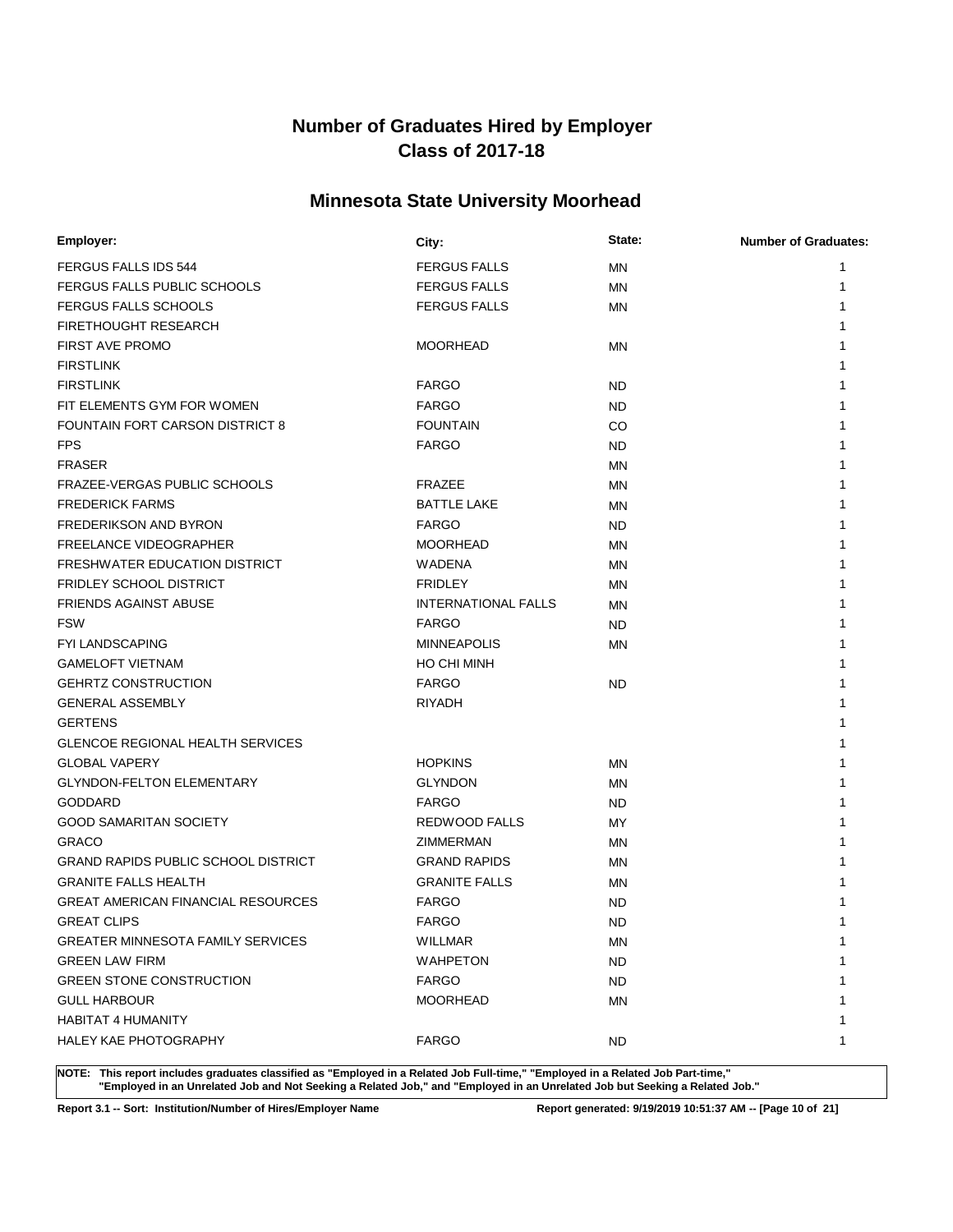# **Minnesota State University Moorhead**

| Employer:                                  | City:                      | State:    | <b>Number of Graduates:</b> |
|--------------------------------------------|----------------------------|-----------|-----------------------------|
| <b>FERGUS FALLS IDS 544</b>                | <b>FERGUS FALLS</b>        | <b>MN</b> | 1                           |
| FERGUS FALLS PUBLIC SCHOOLS                | <b>FERGUS FALLS</b>        | MN        | 1                           |
| <b>FERGUS FALLS SCHOOLS</b>                | <b>FERGUS FALLS</b>        | <b>MN</b> | 1                           |
| <b>FIRETHOUGHT RESEARCH</b>                |                            |           | 1                           |
| <b>FIRST AVE PROMO</b>                     | <b>MOORHEAD</b>            | <b>MN</b> | 1                           |
| <b>FIRSTLINK</b>                           |                            |           | 1                           |
| <b>FIRSTLINK</b>                           | <b>FARGO</b>               | ND        | 1                           |
| FIT ELEMENTS GYM FOR WOMEN                 | <b>FARGO</b>               | ND        | 1                           |
| FOUNTAIN FORT CARSON DISTRICT 8            | <b>FOUNTAIN</b>            | CO.       | 1                           |
| <b>FPS</b>                                 | <b>FARGO</b>               | ND        | 1                           |
| <b>FRASER</b>                              |                            | <b>MN</b> | 1                           |
| FRAZEE-VERGAS PUBLIC SCHOOLS               | <b>FRAZEE</b>              | MN        | 1                           |
| <b>FREDERICK FARMS</b>                     | <b>BATTLE LAKE</b>         | <b>MN</b> | 1                           |
| <b>FREDERIKSON AND BYRON</b>               | <b>FARGO</b>               | <b>ND</b> | 1                           |
| <b>FREELANCE VIDEOGRAPHER</b>              | <b>MOORHEAD</b>            | MN        | 1                           |
| FRESHWATER EDUCATION DISTRICT              | WADENA                     | MN        | 1                           |
| <b>FRIDLEY SCHOOL DISTRICT</b>             | <b>FRIDLEY</b>             | MN        | 1                           |
| <b>FRIENDS AGAINST ABUSE</b>               | <b>INTERNATIONAL FALLS</b> | MN        | 1                           |
| <b>FSW</b>                                 | <b>FARGO</b>               | ND        | 1                           |
| <b>FYI LANDSCAPING</b>                     | <b>MINNEAPOLIS</b>         | MN        | 1                           |
| <b>GAMELOFT VIETNAM</b>                    | HO CHI MINH                |           | 1                           |
| <b>GEHRTZ CONSTRUCTION</b>                 | <b>FARGO</b>               | <b>ND</b> | 1                           |
| <b>GENERAL ASSEMBLY</b>                    | <b>RIYADH</b>              |           | 1                           |
| <b>GERTENS</b>                             |                            |           | 1                           |
| <b>GLENCOE REGIONAL HEALTH SERVICES</b>    |                            |           |                             |
| <b>GLOBAL VAPERY</b>                       | <b>HOPKINS</b>             | MN        | 1                           |
| <b>GLYNDON-FELTON ELEMENTARY</b>           | <b>GLYNDON</b>             | MN        |                             |
| <b>GODDARD</b>                             | <b>FARGO</b>               | ND.       | 1                           |
| <b>GOOD SAMARITAN SOCIETY</b>              | REDWOOD FALLS              | MY        | 1                           |
| <b>GRACO</b>                               | ZIMMERMAN                  | MN        | 1                           |
| <b>GRAND RAPIDS PUBLIC SCHOOL DISTRICT</b> | <b>GRAND RAPIDS</b>        | MN        |                             |
| <b>GRANITE FALLS HEALTH</b>                | <b>GRANITE FALLS</b>       | <b>MN</b> |                             |
| <b>GREAT AMERICAN FINANCIAL RESOURCES</b>  | <b>FARGO</b>               | <b>ND</b> |                             |
| <b>GREAT CLIPS</b>                         | <b>FARGO</b>               | <b>ND</b> | 1                           |
| <b>GREATER MINNESOTA FAMILY SERVICES</b>   | WILLMAR                    | MN        | 1                           |
| <b>GREEN LAW FIRM</b>                      | <b>WAHPETON</b>            | ND        | 1                           |
| <b>GREEN STONE CONSTRUCTION</b>            | <b>FARGO</b>               | ND        | 1                           |
| <b>GULL HARBOUR</b>                        | <b>MOORHEAD</b>            | ΜN        | 1                           |
| <b>HABITAT 4 HUMANITY</b>                  |                            |           | 1                           |
| <b>HALEY KAE PHOTOGRAPHY</b>               | <b>FARGO</b>               | ND.       | 1                           |
|                                            |                            |           |                             |

**NOTE: This report includes graduates classified as "Employed in a Related Job Full-time," "Employed in a Related Job Part-time," "Employed in an Unrelated Job and Not Seeking a Related Job," and "Employed in an Unrelated Job but Seeking a Related Job."**

**Report 3.1 -- Sort: Institution/Number of Hires/Employer Name Report generated: 9/19/2019 10:51:37 AM -- [Page 10 of 21]**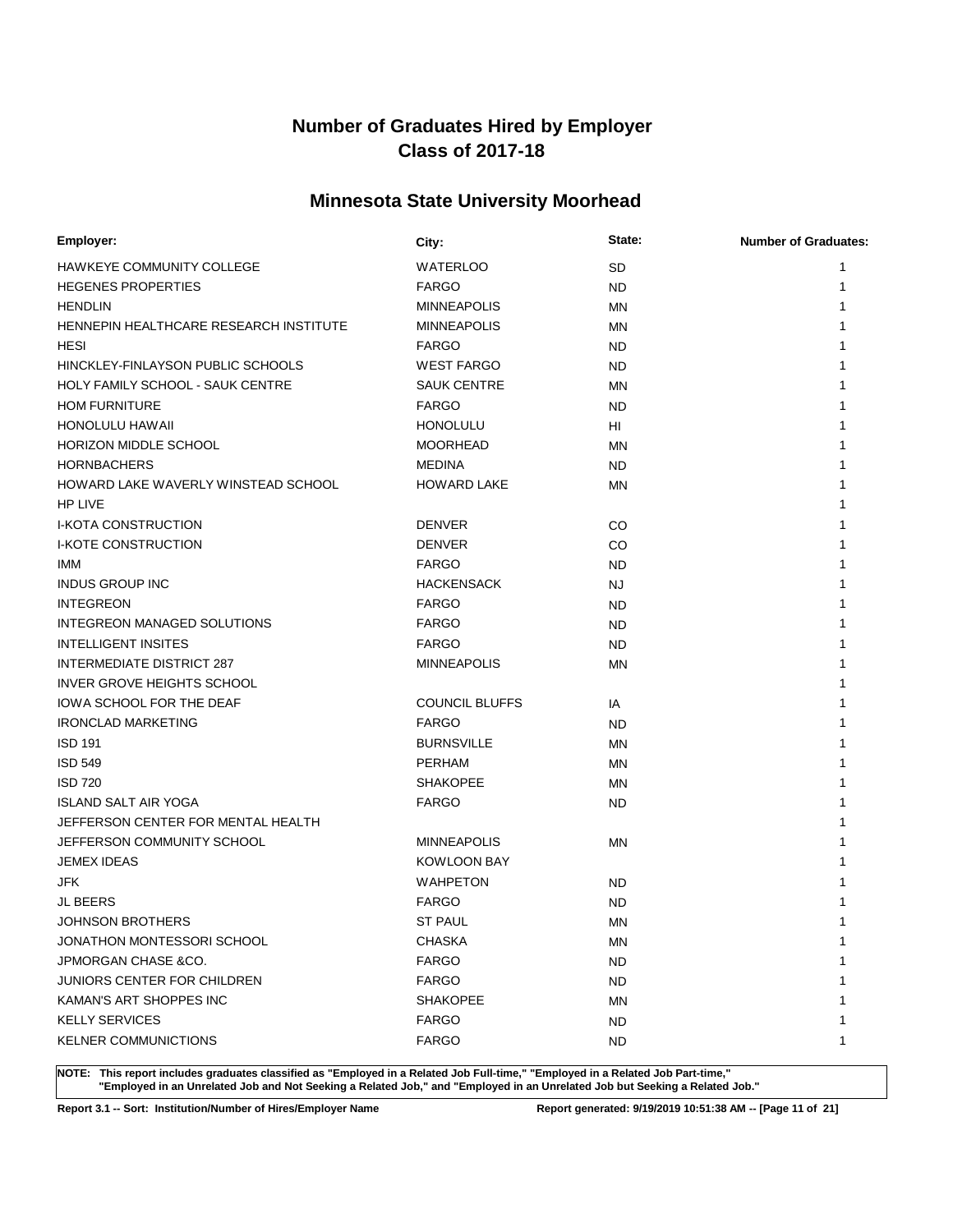# **Minnesota State University Moorhead**

| Employer:                               | City:                 | State:    | <b>Number of Graduates:</b> |
|-----------------------------------------|-----------------------|-----------|-----------------------------|
| HAWKEYE COMMUNITY COLLEGE               | <b>WATERLOO</b>       | <b>SD</b> | 1                           |
| <b>HEGENES PROPERTIES</b>               | <b>FARGO</b>          | <b>ND</b> | 1                           |
| <b>HENDLIN</b>                          | <b>MINNEAPOLIS</b>    | MN        | 1                           |
| HENNEPIN HEALTHCARE RESEARCH INSTITUTE  | <b>MINNEAPOLIS</b>    | ΜN        |                             |
| HESI                                    | <b>FARGO</b>          | <b>ND</b> | 1                           |
| HINCKLEY-FINLAYSON PUBLIC SCHOOLS       | <b>WEST FARGO</b>     | <b>ND</b> | 1                           |
| <b>HOLY FAMILY SCHOOL - SAUK CENTRE</b> | <b>SAUK CENTRE</b>    | MN        | 1                           |
| <b>HOM FURNITURE</b>                    | <b>FARGO</b>          | <b>ND</b> | 1                           |
| <b>HONOLULU HAWAII</b>                  | <b>HONOLULU</b>       | HI        | 1                           |
| HORIZON MIDDLE SCHOOL                   | <b>MOORHEAD</b>       | ΜN        | 1                           |
| <b>HORNBACHERS</b>                      | MEDINA                | <b>ND</b> | 1                           |
| HOWARD LAKE WAVERLY WINSTEAD SCHOOL     | <b>HOWARD LAKE</b>    | ΜN        | 1                           |
| <b>HP LIVE</b>                          |                       |           | 1                           |
| <b>I-KOTA CONSTRUCTION</b>              | <b>DENVER</b>         | CO        | 1                           |
| <b>I-KOTE CONSTRUCTION</b>              | <b>DENVER</b>         | CO        | 1                           |
| IMM                                     | <b>FARGO</b>          | <b>ND</b> | 1                           |
| <b>INDUS GROUP INC</b>                  | <b>HACKENSACK</b>     | NJ        | 1                           |
| <b>INTEGREON</b>                        | <b>FARGO</b>          | <b>ND</b> | 1                           |
| INTEGREON MANAGED SOLUTIONS             | <b>FARGO</b>          | <b>ND</b> | 1                           |
| <b>INTELLIGENT INSITES</b>              | <b>FARGO</b>          | <b>ND</b> | 1                           |
| <b>INTERMEDIATE DISTRICT 287</b>        | <b>MINNEAPOLIS</b>    | MN        | 1                           |
| INVER GROVE HEIGHTS SCHOOL              |                       |           | 1                           |
| IOWA SCHOOL FOR THE DEAF                | <b>COUNCIL BLUFFS</b> | IA        | 1                           |
| <b>IRONCLAD MARKETING</b>               | <b>FARGO</b>          | <b>ND</b> | 1                           |
| <b>ISD 191</b>                          | <b>BURNSVILLE</b>     | MN        | 1                           |
| <b>ISD 549</b>                          | <b>PERHAM</b>         | MN        | 1                           |
| <b>ISD 720</b>                          | <b>SHAKOPEE</b>       | MN        |                             |
| ISLAND SALT AIR YOGA                    | <b>FARGO</b>          | <b>ND</b> |                             |
| JEFFERSON CENTER FOR MENTAL HEALTH      |                       |           | 1                           |
| JEFFERSON COMMUNITY SCHOOL              | <b>MINNEAPOLIS</b>    | <b>MN</b> |                             |
| <b>JEMEX IDEAS</b>                      | <b>KOWLOON BAY</b>    |           |                             |
| JFK                                     | <b>WAHPETON</b>       | <b>ND</b> |                             |
| <b>JL BEERS</b>                         | <b>FARGO</b>          | <b>ND</b> |                             |
| <b>JOHNSON BROTHERS</b>                 | <b>ST PAUL</b>        | <b>MN</b> | 1                           |
| JONATHON MONTESSORI SCHOOL              | <b>CHASKA</b>         | ΜN        | 1                           |
| JPMORGAN CHASE &CO.                     | <b>FARGO</b>          | <b>ND</b> | 1                           |
| <b>JUNIORS CENTER FOR CHILDREN</b>      | <b>FARGO</b>          | <b>ND</b> | 1                           |
| KAMAN'S ART SHOPPES INC                 | <b>SHAKOPEE</b>       | ΜN        | 1                           |
| <b>KELLY SERVICES</b>                   | <b>FARGO</b>          | <b>ND</b> | 1                           |
| <b>KELNER COMMUNICTIONS</b>             | <b>FARGO</b>          | <b>ND</b> | 1                           |

**NOTE: This report includes graduates classified as "Employed in a Related Job Full-time," "Employed in a Related Job Part-time," "Employed in an Unrelated Job and Not Seeking a Related Job," and "Employed in an Unrelated Job but Seeking a Related Job."**

**Report 3.1 -- Sort: Institution/Number of Hires/Employer Name Report generated: 9/19/2019 10:51:38 AM -- [Page 11 of 21]**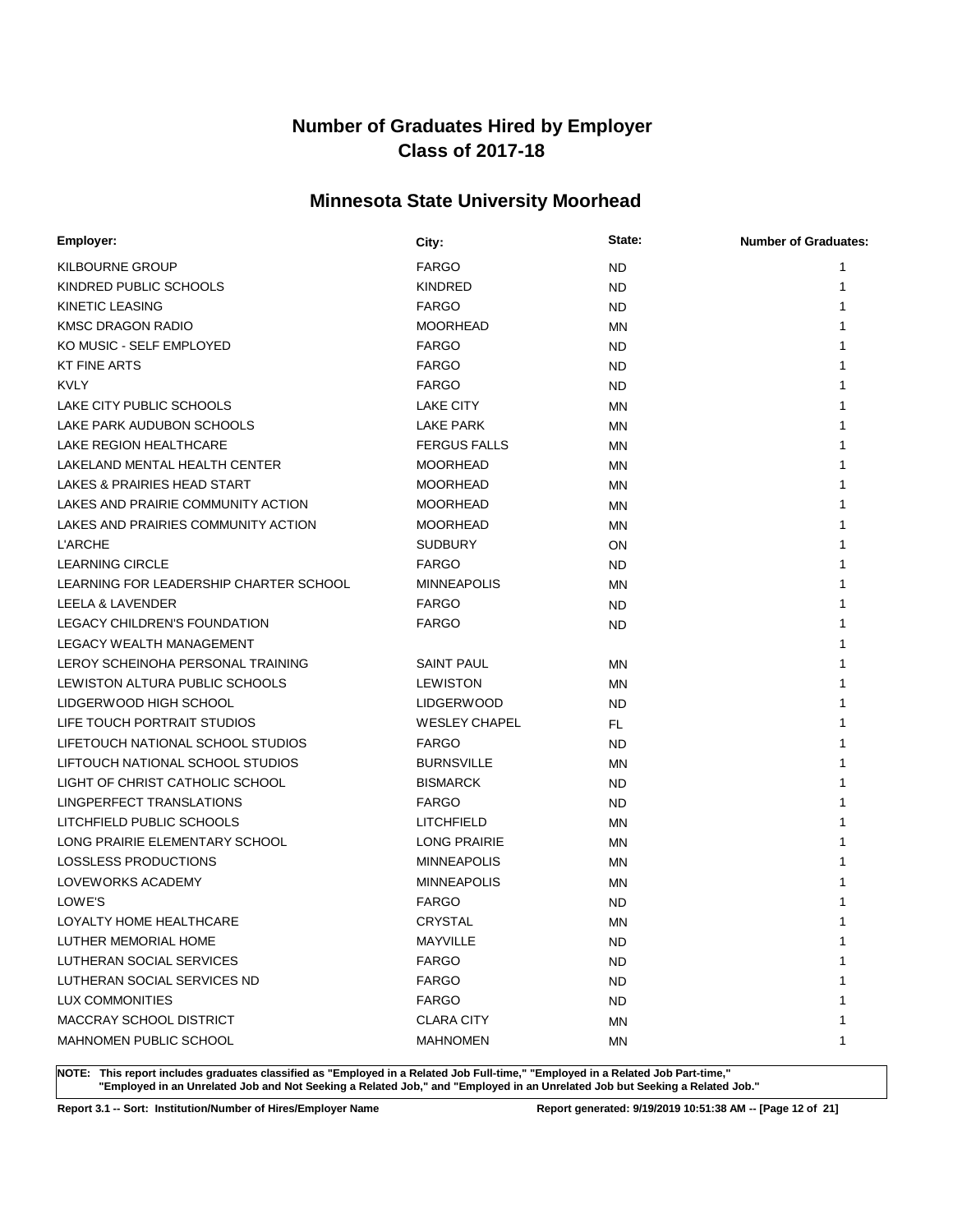# **Minnesota State University Moorhead**

| Employer:                              | City:                | State:    | <b>Number of Graduates:</b> |
|----------------------------------------|----------------------|-----------|-----------------------------|
| <b>KILBOURNE GROUP</b>                 | <b>FARGO</b>         | <b>ND</b> | 1                           |
| KINDRED PUBLIC SCHOOLS                 | <b>KINDRED</b>       | <b>ND</b> | 1                           |
| <b>KINETIC LEASING</b>                 | <b>FARGO</b>         | <b>ND</b> |                             |
| <b>KMSC DRAGON RADIO</b>               | <b>MOORHEAD</b>      | MN        |                             |
| KO MUSIC - SELF EMPLOYED               | <b>FARGO</b>         | <b>ND</b> |                             |
| <b>KT FINE ARTS</b>                    | <b>FARGO</b>         | <b>ND</b> |                             |
| <b>KVLY</b>                            | <b>FARGO</b>         | ND.       |                             |
| LAKE CITY PUBLIC SCHOOLS               | LAKE CITY            | ΜN        | 1                           |
| LAKE PARK AUDUBON SCHOOLS              | LAKE PARK            | ΜN        |                             |
| LAKE REGION HEALTHCARE                 | <b>FERGUS FALLS</b>  | ΜN        |                             |
| LAKELAND MENTAL HEALTH CENTER          | <b>MOORHEAD</b>      | ΜN        |                             |
| LAKES & PRAIRIES HEAD START            | <b>MOORHEAD</b>      | ΜN        |                             |
| LAKES AND PRAIRIE COMMUNITY ACTION     | <b>MOORHEAD</b>      | ΜN        | 1                           |
| LAKES AND PRAIRIES COMMUNITY ACTION    | <b>MOORHEAD</b>      | ΜN        | 1                           |
| <b>L'ARCHE</b>                         | <b>SUDBURY</b>       | ON        | 1                           |
| <b>LEARNING CIRCLE</b>                 | <b>FARGO</b>         | <b>ND</b> | 1                           |
| LEARNING FOR LEADERSHIP CHARTER SCHOOL | <b>MINNEAPOLIS</b>   | ΜN        |                             |
| LEELA & LAVENDER                       | <b>FARGO</b>         | <b>ND</b> |                             |
| <b>LEGACY CHILDREN'S FOUNDATION</b>    | <b>FARGO</b>         | <b>ND</b> |                             |
| <b>LEGACY WEALTH MANAGEMENT</b>        |                      |           | 1                           |
| LEROY SCHEINOHA PERSONAL TRAINING      | <b>SAINT PAUL</b>    | ΜN        | 1                           |
| LEWISTON ALTURA PUBLIC SCHOOLS         | <b>LEWISTON</b>      | ΜN        | 1                           |
| LIDGERWOOD HIGH SCHOOL                 | <b>LIDGERWOOD</b>    | <b>ND</b> | 1                           |
| LIFE TOUCH PORTRAIT STUDIOS            | <b>WESLEY CHAPEL</b> | FL        | 1                           |
| LIFETOUCH NATIONAL SCHOOL STUDIOS      | <b>FARGO</b>         | <b>ND</b> |                             |
| LIFTOUCH NATIONAL SCHOOL STUDIOS       | <b>BURNSVILLE</b>    | ΜN        | 1                           |
| LIGHT OF CHRIST CATHOLIC SCHOOL        | <b>BISMARCK</b>      | ND.       | 1                           |
| LINGPERFECT TRANSLATIONS               | <b>FARGO</b>         | <b>ND</b> | 1                           |
| LITCHFIELD PUBLIC SCHOOLS              | <b>LITCHFIELD</b>    | ΜN        | 1                           |
| LONG PRAIRIE ELEMENTARY SCHOOL         | <b>LONG PRAIRIE</b>  | ΜN        | 1                           |
| LOSSLESS PRODUCTIONS                   | <b>MINNEAPOLIS</b>   | MN        |                             |
| LOVEWORKS ACADEMY                      | <b>MINNEAPOLIS</b>   | ΜN        |                             |
| LOWE'S                                 | <b>FARGO</b>         | <b>ND</b> |                             |
| LOYALTY HOME HEALTHCARE                | CRYSTAL              | ΜN        | 1                           |
| LUTHER MEMORIAL HOME                   | MAYVILLE             | ND        | 1                           |
| LUTHERAN SOCIAL SERVICES               | <b>FARGO</b>         | <b>ND</b> | 1                           |
| LUTHERAN SOCIAL SERVICES ND            | <b>FARGO</b>         | ND        | 1                           |
| LUX COMMONITIES                        | <b>FARGO</b>         | <b>ND</b> | 1                           |
| MACCRAY SCHOOL DISTRICT                | <b>CLARA CITY</b>    | ΜN        | 1                           |
| MAHNOMEN PUBLIC SCHOOL                 | <b>MAHNOMEN</b>      | MN        | 1                           |

**NOTE: This report includes graduates classified as "Employed in a Related Job Full-time," "Employed in a Related Job Part-time," "Employed in an Unrelated Job and Not Seeking a Related Job," and "Employed in an Unrelated Job but Seeking a Related Job."**

**Report 3.1 -- Sort: Institution/Number of Hires/Employer Name Report generated: 9/19/2019 10:51:38 AM -- [Page 12 of 21]**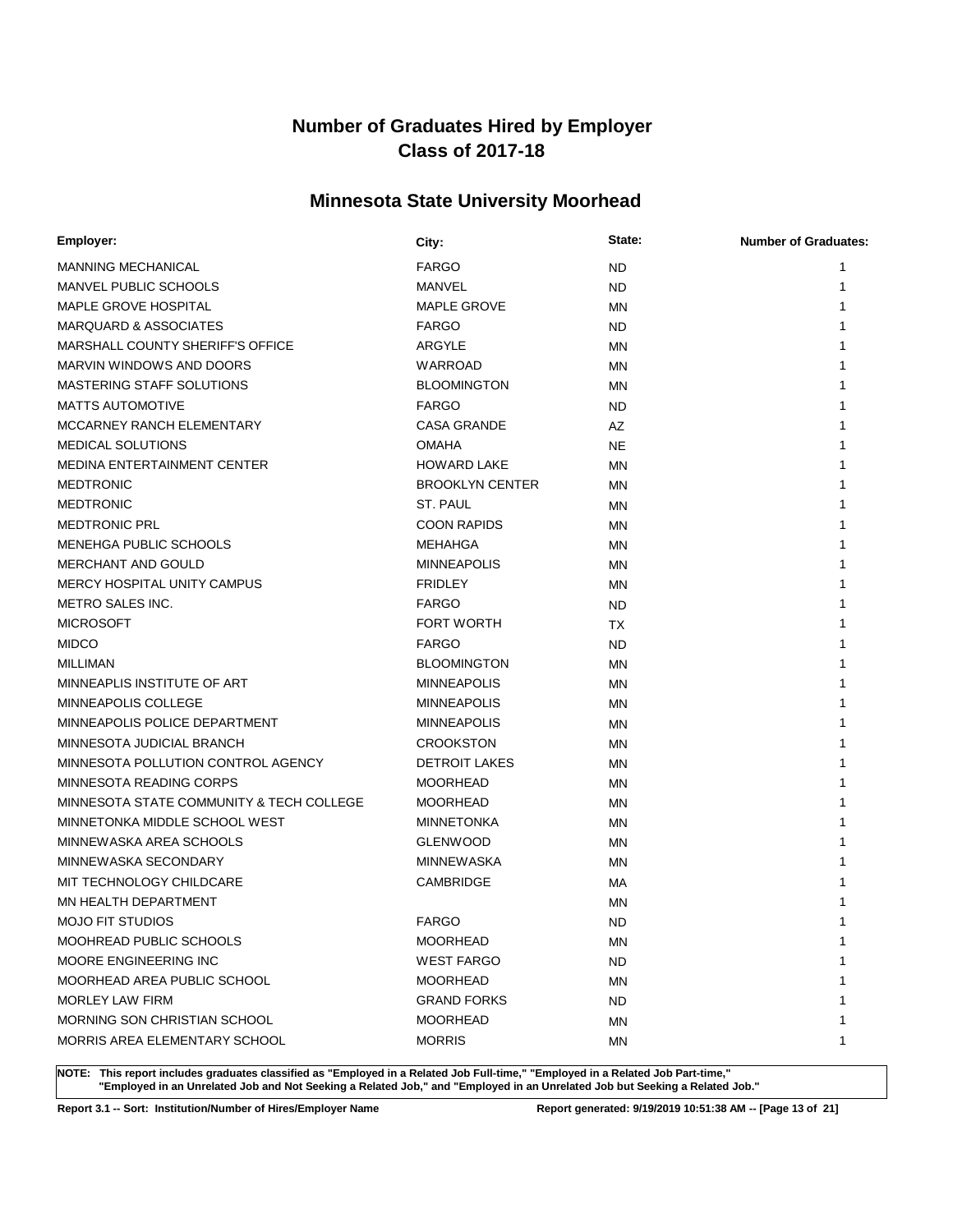# **Minnesota State University Moorhead**

| Employer:                                | City:                  | State:    | <b>Number of Graduates:</b> |
|------------------------------------------|------------------------|-----------|-----------------------------|
| <b>MANNING MECHANICAL</b>                | <b>FARGO</b>           | <b>ND</b> | 1                           |
| <b>MANVEL PUBLIC SCHOOLS</b>             | MANVEL                 | <b>ND</b> | 1                           |
| MAPLE GROVE HOSPITAL                     | <b>MAPLE GROVE</b>     | ΜN        |                             |
| <b>MARQUARD &amp; ASSOCIATES</b>         | <b>FARGO</b>           | <b>ND</b> |                             |
| MARSHALL COUNTY SHERIFF'S OFFICE         | ARGYLE                 | ΜN        |                             |
| MARVIN WINDOWS AND DOORS                 | WARROAD                | ΜN        |                             |
| <b>MASTERING STAFF SOLUTIONS</b>         | <b>BLOOMINGTON</b>     | ΜN        |                             |
| <b>MATTS AUTOMOTIVE</b>                  | <b>FARGO</b>           | ND.       |                             |
| MCCARNEY RANCH ELEMENTARY                | <b>CASA GRANDE</b>     | AZ        |                             |
| <b>MEDICAL SOLUTIONS</b>                 | <b>OMAHA</b>           | <b>NE</b> |                             |
| MEDINA ENTERTAINMENT CENTER              | <b>HOWARD LAKE</b>     | ΜN        |                             |
| <b>MEDTRONIC</b>                         | <b>BROOKLYN CENTER</b> | ΜN        |                             |
| <b>MEDTRONIC</b>                         | ST. PAUL               | ΜN        | 1                           |
| <b>MEDTRONIC PRL</b>                     | <b>COON RAPIDS</b>     | ΜN        |                             |
| MENEHGA PUBLIC SCHOOLS                   | MEHAHGA                | ΜN        |                             |
| MERCHANT AND GOULD                       | <b>MINNEAPOLIS</b>     | ΜN        |                             |
| MERCY HOSPITAL UNITY CAMPUS              | <b>FRIDLEY</b>         | ΜN        |                             |
| <b>METRO SALES INC.</b>                  | <b>FARGO</b>           | <b>ND</b> |                             |
| <b>MICROSOFT</b>                         | <b>FORT WORTH</b>      | TX        |                             |
| <b>MIDCO</b>                             | <b>FARGO</b>           | <b>ND</b> | 1                           |
| <b>MILLIMAN</b>                          | <b>BLOOMINGTON</b>     | ΜN        | 1                           |
| MINNEAPLIS INSTITUTE OF ART              | <b>MINNEAPOLIS</b>     | ΜN        | 1                           |
| MINNEAPOLIS COLLEGE                      | <b>MINNEAPOLIS</b>     | ΜN        |                             |
| MINNEAPOLIS POLICE DEPARTMENT            | <b>MINNEAPOLIS</b>     | ΜN        |                             |
| MINNESOTA JUDICIAL BRANCH                | <b>CROOKSTON</b>       | ΜN        |                             |
| MINNESOTA POLLUTION CONTROL AGENCY       | <b>DETROIT LAKES</b>   | ΜN        |                             |
| MINNESOTA READING CORPS                  | <b>MOORHEAD</b>        | ΜN        |                             |
| MINNESOTA STATE COMMUNITY & TECH COLLEGE | <b>MOORHEAD</b>        | MN        | 1                           |
| MINNETONKA MIDDLE SCHOOL WEST            | <b>MINNETONKA</b>      | ΜN        | 1                           |
| MINNEWASKA AREA SCHOOLS                  | <b>GLENWOOD</b>        | ΜN        |                             |
| MINNEWASKA SECONDARY                     | MINNEWASKA             | ΜN        |                             |
| MIT TECHNOLOGY CHILDCARE                 | <b>CAMBRIDGE</b>       | МA        |                             |
| MN HEALTH DEPARTMENT                     |                        | ΜN        |                             |
| <b>MOJO FIT STUDIOS</b>                  | <b>FARGO</b>           | <b>ND</b> | 1                           |
| MOOHREAD PUBLIC SCHOOLS                  | <b>MOORHEAD</b>        | ΜN        | 1                           |
| MOORE ENGINEERING INC                    | <b>WEST FARGO</b>      | <b>ND</b> | 1                           |
| MOORHEAD AREA PUBLIC SCHOOL              | <b>MOORHEAD</b>        | ΜN        | 1                           |
| <b>MORLEY LAW FIRM</b>                   | <b>GRAND FORKS</b>     | ND        | 1                           |
| MORNING SON CHRISTIAN SCHOOL             | <b>MOORHEAD</b>        | ΜN        | 1                           |
| MORRIS AREA ELEMENTARY SCHOOL            | <b>MORRIS</b>          | MN        | 1                           |

**NOTE: This report includes graduates classified as "Employed in a Related Job Full-time," "Employed in a Related Job Part-time," "Employed in an Unrelated Job and Not Seeking a Related Job," and "Employed in an Unrelated Job but Seeking a Related Job."**

**Report 3.1 -- Sort: Institution/Number of Hires/Employer Name Report generated: 9/19/2019 10:51:38 AM -- [Page 13 of 21]**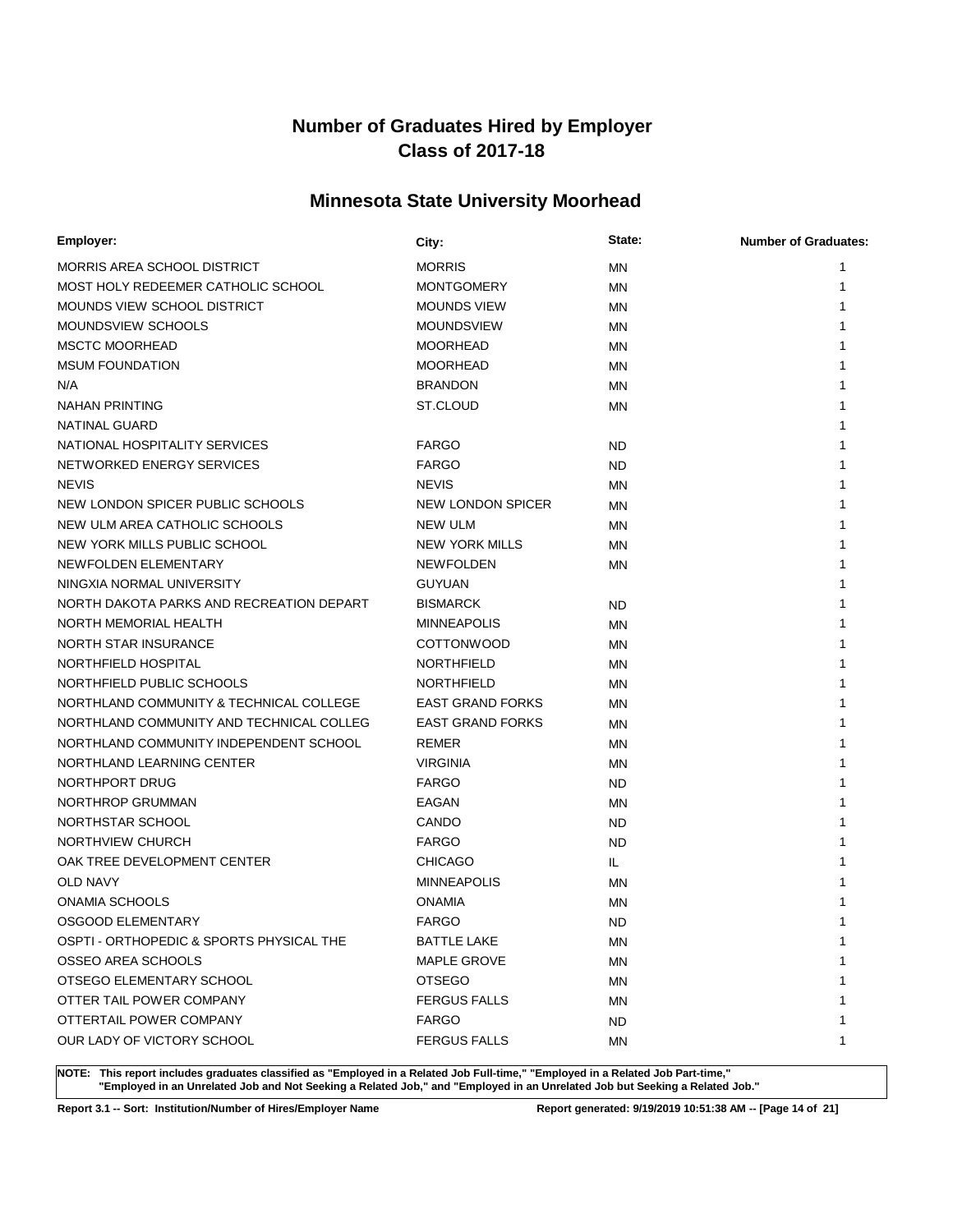# **Minnesota State University Moorhead**

| Employer:                                | City:                   | State:    | <b>Number of Graduates:</b> |
|------------------------------------------|-------------------------|-----------|-----------------------------|
| MORRIS AREA SCHOOL DISTRICT              | <b>MORRIS</b>           | ΜN        | 1                           |
| MOST HOLY REDEEMER CATHOLIC SCHOOL       | <b>MONTGOMERY</b>       | MN        | 1                           |
| MOUNDS VIEW SCHOOL DISTRICT              | <b>MOUNDS VIEW</b>      | ΜN        |                             |
| MOUNDSVIEW SCHOOLS                       | <b>MOUNDSVIEW</b>       | ΜN        |                             |
| <b>MSCTC MOORHEAD</b>                    | <b>MOORHEAD</b>         | ΜN        |                             |
| <b>MSUM FOUNDATION</b>                   | <b>MOORHEAD</b>         | ΜN        |                             |
| N/A                                      | <b>BRANDON</b>          | ΜN        |                             |
| NAHAN PRINTING                           | ST.CLOUD                | ΜN        |                             |
| NATINAL GUARD                            |                         |           |                             |
| NATIONAL HOSPITALITY SERVICES            | <b>FARGO</b>            | <b>ND</b> |                             |
| NETWORKED ENERGY SERVICES                | <b>FARGO</b>            | ND.       |                             |
| <b>NEVIS</b>                             | <b>NEVIS</b>            | ΜN        |                             |
| NEW LONDON SPICER PUBLIC SCHOOLS         | NEW LONDON SPICER       | ΜN        | 1                           |
| NEW ULM AREA CATHOLIC SCHOOLS            | NEW ULM                 | ΜN        |                             |
| NEW YORK MILLS PUBLIC SCHOOL             | <b>NEW YORK MILLS</b>   | ΜN        |                             |
| NEWFOLDEN ELEMENTARY                     | <b>NEWFOLDEN</b>        | ΜN        |                             |
| NINGXIA NORMAL UNIVERSITY                | <b>GUYUAN</b>           |           |                             |
| NORTH DAKOTA PARKS AND RECREATION DEPART | <b>BISMARCK</b>         | <b>ND</b> |                             |
| NORTH MEMORIAL HEALTH                    | <b>MINNEAPOLIS</b>      | ΜN        |                             |
| <b>NORTH STAR INSURANCE</b>              | <b>COTTONWOOD</b>       | ΜN        |                             |
| NORTHFIELD HOSPITAL                      | <b>NORTHFIELD</b>       | ΜN        |                             |
| NORTHFIELD PUBLIC SCHOOLS                | <b>NORTHFIELD</b>       | ΜN        |                             |
| NORTHLAND COMMUNITY & TECHNICAL COLLEGE  | <b>EAST GRAND FORKS</b> | ΜN        |                             |
| NORTHLAND COMMUNITY AND TECHNICAL COLLEG | <b>EAST GRAND FORKS</b> | ΜN        |                             |
| NORTHLAND COMMUNITY INDEPENDENT SCHOOL   | <b>REMER</b>            | ΜN        |                             |
| NORTHLAND LEARNING CENTER                | <b>VIRGINIA</b>         | ΜN        |                             |
| NORTHPORT DRUG                           | <b>FARGO</b>            | ND.       |                             |
| NORTHROP GRUMMAN                         | <b>EAGAN</b>            | MN        | 1                           |
| NORTHSTAR SCHOOL                         | CANDO                   | <b>ND</b> | 1                           |
| NORTHVIEW CHURCH                         | <b>FARGO</b>            | <b>ND</b> |                             |
| OAK TREE DEVELOPMENT CENTER              | <b>CHICAGO</b>          | IL        |                             |
| <b>OLD NAVY</b>                          | <b>MINNEAPOLIS</b>      | ΜN        |                             |
| <b>ONAMIA SCHOOLS</b>                    | <b>ONAMIA</b>           | <b>MN</b> |                             |
| OSGOOD ELEMENTARY                        | <b>FARGO</b>            | <b>ND</b> | 1                           |
| OSPTI - ORTHOPEDIC & SPORTS PHYSICAL THE | <b>BATTLE LAKE</b>      | ΜN        | 1                           |
| OSSEO AREA SCHOOLS                       | <b>MAPLE GROVE</b>      | ΜN        | 1                           |
| OTSEGO ELEMENTARY SCHOOL                 | <b>OTSEGO</b>           | ΜN        | 1                           |
| OTTER TAIL POWER COMPANY                 | <b>FERGUS FALLS</b>     | ΜN        | 1                           |
| OTTERTAIL POWER COMPANY                  | <b>FARGO</b>            | ND        | 1                           |
| OUR LADY OF VICTORY SCHOOL               | <b>FERGUS FALLS</b>     | ΜN        | 1                           |

**NOTE: This report includes graduates classified as "Employed in a Related Job Full-time," "Employed in a Related Job Part-time," "Employed in an Unrelated Job and Not Seeking a Related Job," and "Employed in an Unrelated Job but Seeking a Related Job."**

**Report 3.1 -- Sort: Institution/Number of Hires/Employer Name Report generated: 9/19/2019 10:51:38 AM -- [Page 14 of 21]**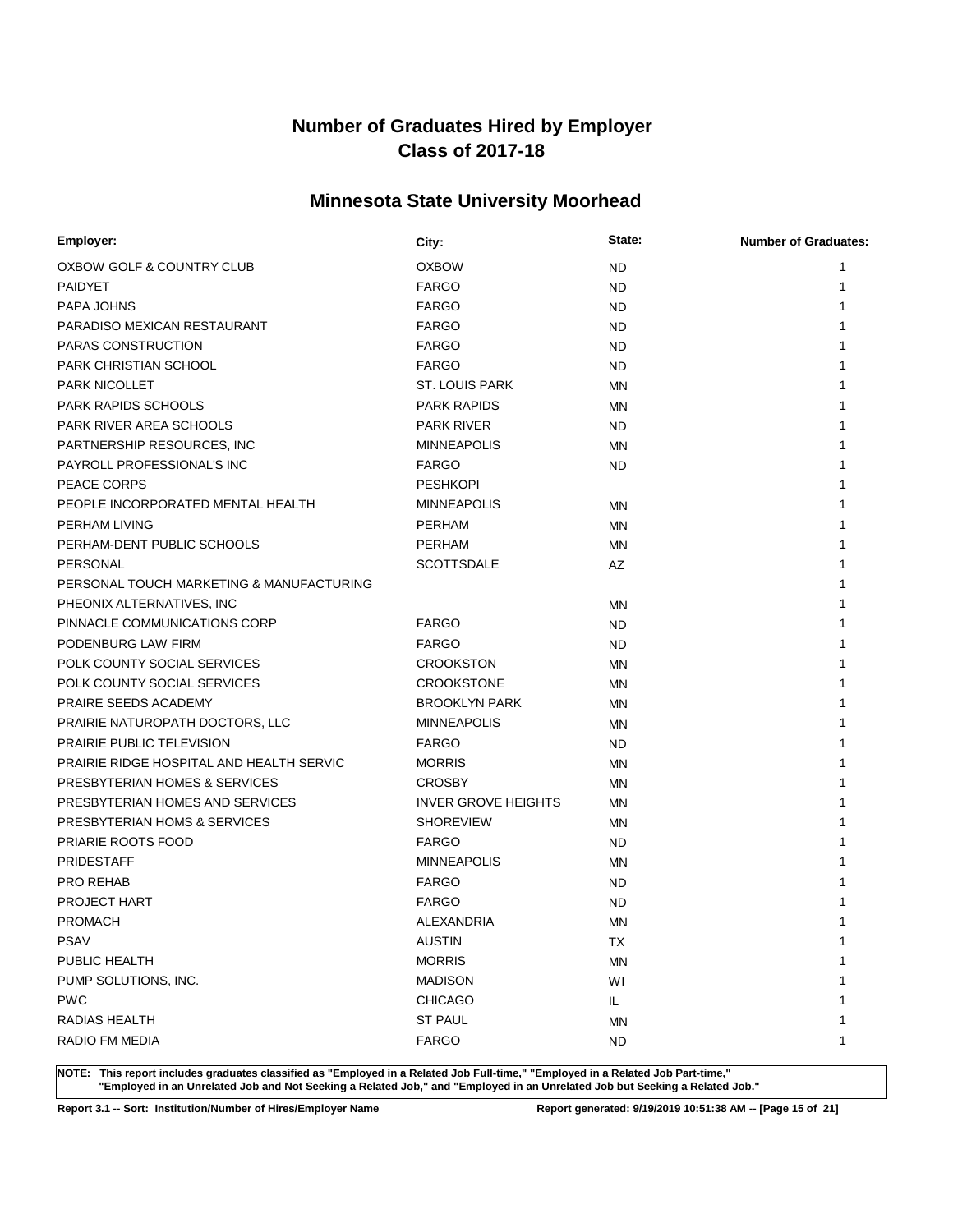# **Minnesota State University Moorhead**

| Employer:                                | City:                      | State:    | <b>Number of Graduates:</b> |
|------------------------------------------|----------------------------|-----------|-----------------------------|
| OXBOW GOLF & COUNTRY CLUB                | <b>OXBOW</b>               | <b>ND</b> | 1                           |
| <b>PAIDYET</b>                           | <b>FARGO</b>               | <b>ND</b> | 1                           |
| PAPA JOHNS                               | <b>FARGO</b>               | <b>ND</b> | 1                           |
| PARADISO MEXICAN RESTAURANT              | <b>FARGO</b>               | <b>ND</b> | 1                           |
| PARAS CONSTRUCTION                       | <b>FARGO</b>               | <b>ND</b> | 1                           |
| PARK CHRISTIAN SCHOOL                    | <b>FARGO</b>               | <b>ND</b> | 1                           |
| <b>PARK NICOLLET</b>                     | <b>ST. LOUIS PARK</b>      | <b>MN</b> | 1                           |
| <b>PARK RAPIDS SCHOOLS</b>               | <b>PARK RAPIDS</b>         | <b>MN</b> | 1                           |
| PARK RIVER AREA SCHOOLS                  | <b>PARK RIVER</b>          | ND.       | 1                           |
| PARTNERSHIP RESOURCES, INC.              | <b>MINNEAPOLIS</b>         | ΜN        | 1                           |
| PAYROLL PROFESSIONAL'S INC               | <b>FARGO</b>               | <b>ND</b> | 1                           |
| PEACE CORPS                              | <b>PESHKOPI</b>            |           |                             |
| PEOPLE INCORPORATED MENTAL HEALTH        | <b>MINNEAPOLIS</b>         | <b>MN</b> | 1                           |
| PERHAM LIVING                            | <b>PERHAM</b>              | <b>MN</b> | 1                           |
| PERHAM-DENT PUBLIC SCHOOLS               | <b>PERHAM</b>              | ΜN        | 1                           |
| PERSONAL                                 | <b>SCOTTSDALE</b>          | <b>AZ</b> |                             |
| PERSONAL TOUCH MARKETING & MANUFACTURING |                            |           |                             |
| PHEONIX ALTERNATIVES, INC                |                            | MN        | 1                           |
| PINNACLE COMMUNICATIONS CORP             | <b>FARGO</b>               | <b>ND</b> |                             |
| PODENBURG LAW FIRM                       | <b>FARGO</b>               | ND        |                             |
| POLK COUNTY SOCIAL SERVICES              | <b>CROOKSTON</b>           | <b>MN</b> | 1                           |
| POLK COUNTY SOCIAL SERVICES              | <b>CROOKSTONE</b>          | ΜN        | 1                           |
| PRAIRE SEEDS ACADEMY                     | <b>BROOKLYN PARK</b>       | MN        | 1                           |
| PRAIRIE NATUROPATH DOCTORS, LLC          | <b>MINNEAPOLIS</b>         | MN        |                             |
| PRAIRIE PUBLIC TELEVISION                | <b>FARGO</b>               | <b>ND</b> | 1                           |
| PRAIRIE RIDGE HOSPITAL AND HEALTH SERVIC | <b>MORRIS</b>              | MN        | 1                           |
| PRESBYTERIAN HOMES & SERVICES            | <b>CROSBY</b>              | MN        |                             |
| PRESBYTERIAN HOMES AND SERVICES          | <b>INVER GROVE HEIGHTS</b> | MN        |                             |
| PRESBYTERIAN HOMS & SERVICES             | <b>SHOREVIEW</b>           | MN        | 1                           |
| PRIARIE ROOTS FOOD                       | <b>FARGO</b>               | ND        |                             |
| <b>PRIDESTAFF</b>                        | <b>MINNEAPOLIS</b>         | MN        |                             |
| <b>PRO REHAB</b>                         | <b>FARGO</b>               | <b>ND</b> |                             |
| <b>PROJECT HART</b>                      | <b>FARGO</b>               | <b>ND</b> |                             |
| <b>PROMACH</b>                           | ALEXANDRIA                 | <b>MN</b> | 1                           |
| <b>PSAV</b>                              | <b>AUSTIN</b>              | TX        | 1                           |
| PUBLIC HEALTH                            | <b>MORRIS</b>              | <b>MN</b> | 1                           |
| PUMP SOLUTIONS, INC.                     | <b>MADISON</b>             | WI        |                             |
| <b>PWC</b>                               | <b>CHICAGO</b>             | IL        |                             |
| RADIAS HEALTH                            | <b>ST PAUL</b>             | ΜN        | 1                           |
| RADIO FM MEDIA                           | <b>FARGO</b>               | <b>ND</b> | 1                           |

**NOTE: This report includes graduates classified as "Employed in a Related Job Full-time," "Employed in a Related Job Part-time," "Employed in an Unrelated Job and Not Seeking a Related Job," and "Employed in an Unrelated Job but Seeking a Related Job."**

**Report 3.1 -- Sort: Institution/Number of Hires/Employer Name Report generated: 9/19/2019 10:51:38 AM -- [Page 15 of 21]**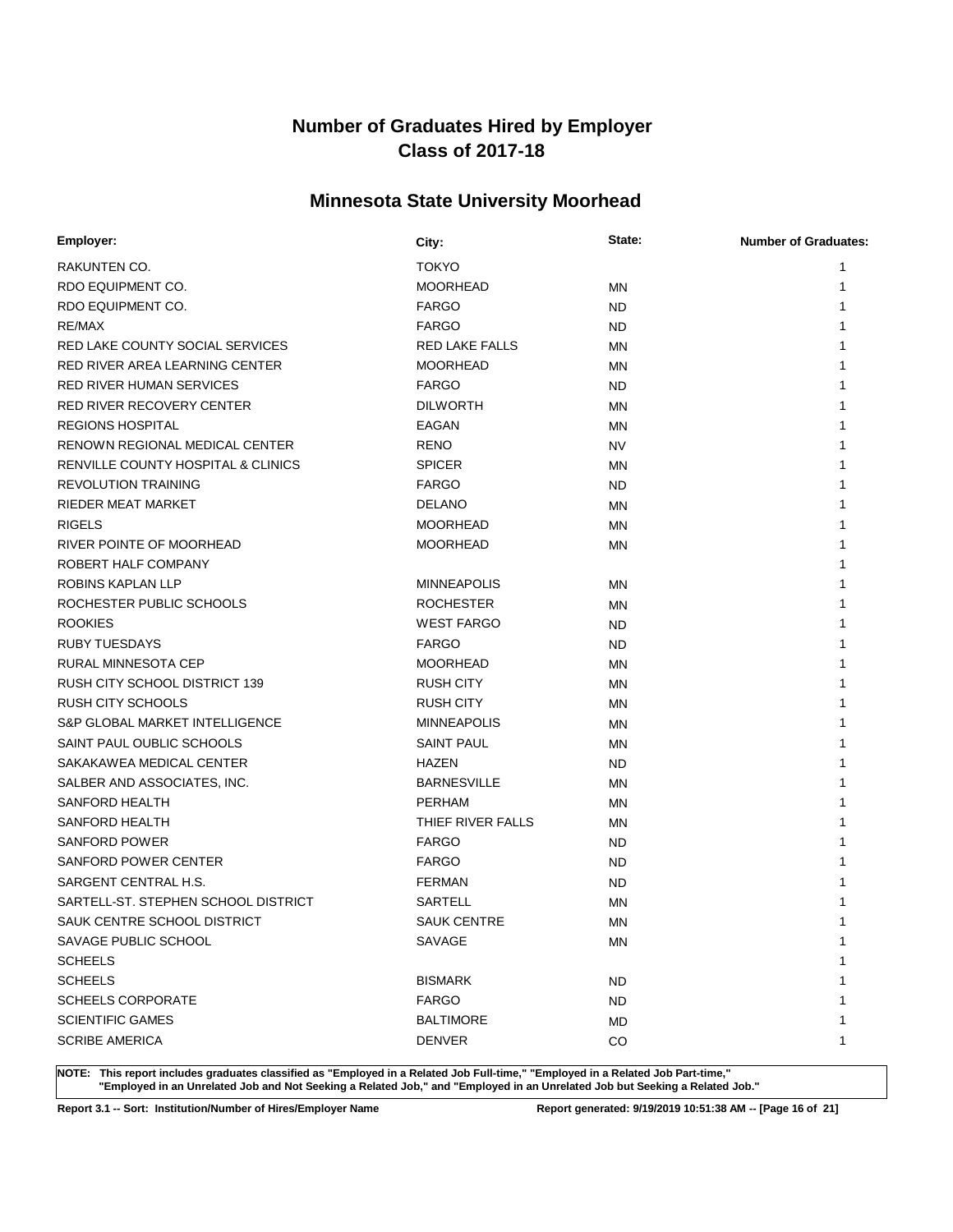# **Minnesota State University Moorhead**

| Employer:                           | City:                 | State:    | <b>Number of Graduates:</b> |
|-------------------------------------|-----------------------|-----------|-----------------------------|
| RAKUNTEN CO.                        | <b>TOKYO</b>          |           | 1                           |
| RDO EQUIPMENT CO.                   | <b>MOORHEAD</b>       | ΜN        | 1                           |
| RDO EQUIPMENT CO.                   | <b>FARGO</b>          | ND.       | 1                           |
| RE/MAX                              | <b>FARGO</b>          | ND        | 1                           |
| RED LAKE COUNTY SOCIAL SERVICES     | <b>RED LAKE FALLS</b> | <b>MN</b> | 1                           |
| RED RIVER AREA LEARNING CENTER      | <b>MOORHEAD</b>       | ΜN        | 1                           |
| RED RIVER HUMAN SERVICES            | <b>FARGO</b>          | ND.       | 1                           |
| <b>RED RIVER RECOVERY CENTER</b>    | <b>DILWORTH</b>       | ΜN        | 1                           |
| <b>REGIONS HOSPITAL</b>             | EAGAN                 | ΜN        |                             |
| RENOWN REGIONAL MEDICAL CENTER      | <b>RENO</b>           | <b>NV</b> |                             |
| RENVILLE COUNTY HOSPITAL & CLINICS  | <b>SPICER</b>         | ΜN        |                             |
| <b>REVOLUTION TRAINING</b>          | <b>FARGO</b>          | ND.       |                             |
| RIEDER MEAT MARKET                  | <b>DELANO</b>         | <b>MN</b> | 1                           |
| <b>RIGELS</b>                       | <b>MOORHEAD</b>       | ΜN        | 1                           |
| RIVER POINTE OF MOORHEAD            | <b>MOORHEAD</b>       | ΜN        | 1                           |
| ROBERT HALF COMPANY                 |                       |           |                             |
| ROBINS KAPLAN LLP                   | <b>MINNEAPOLIS</b>    | ΜN        |                             |
| ROCHESTER PUBLIC SCHOOLS            | <b>ROCHESTER</b>      | ΜN        |                             |
| <b>ROOKIES</b>                      | <b>WEST FARGO</b>     | <b>ND</b> |                             |
| <b>RUBY TUESDAYS</b>                | <b>FARGO</b>          | ND        |                             |
| <b>RURAL MINNESOTA CEP</b>          | <b>MOORHEAD</b>       | <b>MN</b> | 1                           |
| RUSH CITY SCHOOL DISTRICT 139       | <b>RUSH CITY</b>      | ΜN        | 1                           |
| <b>RUSH CITY SCHOOLS</b>            | RUSH CITY             | ΜN        | 1                           |
| S&P GLOBAL MARKET INTELLIGENCE      | <b>MINNEAPOLIS</b>    | ΜN        |                             |
| SAINT PAUL OUBLIC SCHOOLS           | <b>SAINT PAUL</b>     | ΜN        |                             |
| SAKAKAWEA MEDICAL CENTER            | <b>HAZEN</b>          | ND.       |                             |
| SALBER AND ASSOCIATES, INC.         | <b>BARNESVILLE</b>    | MN        |                             |
| SANFORD HEALTH                      | <b>PERHAM</b>         | ΜN        |                             |
| SANFORD HEALTH                      | THIEF RIVER FALLS     | ΜN        |                             |
| <b>SANFORD POWER</b>                | <b>FARGO</b>          | ND.       |                             |
| SANFORD POWER CENTER                | <b>FARGO</b>          | ND        |                             |
| SARGENT CENTRAL H.S.                | <b>FERMAN</b>         | ND.       |                             |
| SARTELL-ST. STEPHEN SCHOOL DISTRICT | <b>SARTELL</b>        | MN        |                             |
| SAUK CENTRE SCHOOL DISTRICT         | <b>SAUK CENTRE</b>    | <b>MN</b> | 1                           |
| SAVAGE PUBLIC SCHOOL                | SAVAGE                | ΜN        | 1                           |
| <b>SCHEELS</b>                      |                       |           | 1                           |
| <b>SCHEELS</b>                      | <b>BISMARK</b>        | <b>ND</b> |                             |
| <b>SCHEELS CORPORATE</b>            | <b>FARGO</b>          | ND        |                             |
| <b>SCIENTIFIC GAMES</b>             | <b>BALTIMORE</b>      | MD        | 1                           |
| <b>SCRIBE AMERICA</b>               | DENVER                | CO        | 1                           |

**NOTE: This report includes graduates classified as "Employed in a Related Job Full-time," "Employed in a Related Job Part-time," "Employed in an Unrelated Job and Not Seeking a Related Job," and "Employed in an Unrelated Job but Seeking a Related Job."**

**Report 3.1 -- Sort: Institution/Number of Hires/Employer Name Report generated: 9/19/2019 10:51:38 AM -- [Page 16 of 21]**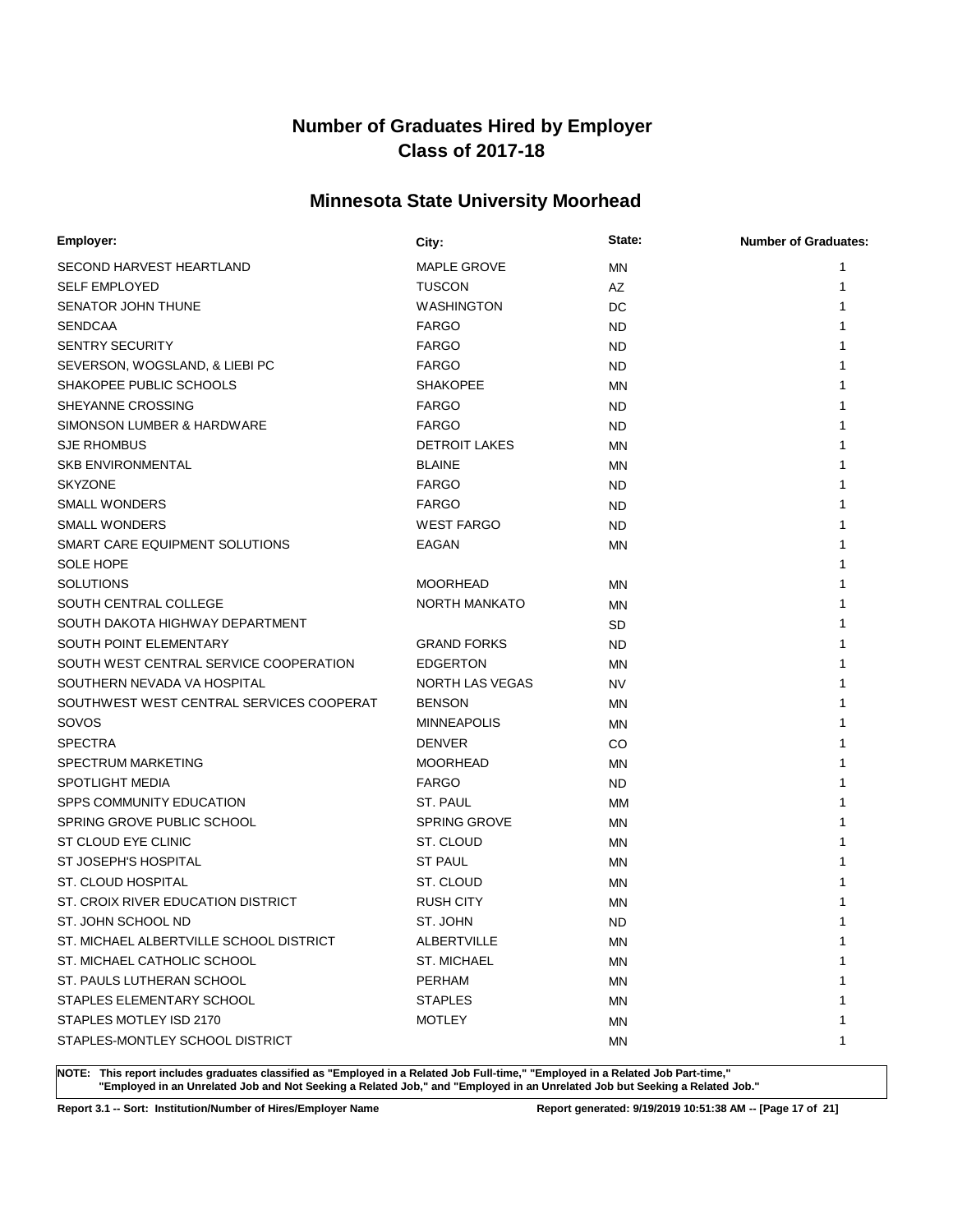# **Minnesota State University Moorhead**

| Employer:                                | City:                  | State:    | <b>Number of Graduates:</b> |
|------------------------------------------|------------------------|-----------|-----------------------------|
| SECOND HARVEST HEARTLAND                 | <b>MAPLE GROVE</b>     | MN        | 1                           |
| <b>SELF EMPLOYED</b>                     | <b>TUSCON</b>          | AZ        | 1                           |
| SENATOR JOHN THUNE                       | <b>WASHINGTON</b>      | DC        | 1                           |
| <b>SENDCAA</b>                           | <b>FARGO</b>           | <b>ND</b> | 1                           |
| <b>SENTRY SECURITY</b>                   | <b>FARGO</b>           | <b>ND</b> | 1                           |
| SEVERSON, WOGSLAND, & LIEBI PC           | <b>FARGO</b>           | <b>ND</b> | 1                           |
| SHAKOPEE PUBLIC SCHOOLS                  | <b>SHAKOPEE</b>        | ΜN        | 1                           |
| SHEYANNE CROSSING                        | <b>FARGO</b>           | <b>ND</b> | 1                           |
| SIMONSON LUMBER & HARDWARE               | <b>FARGO</b>           | <b>ND</b> | 1                           |
| <b>SJE RHOMBUS</b>                       | <b>DETROIT LAKES</b>   | ΜN        | 1                           |
| <b>SKB ENVIRONMENTAL</b>                 | <b>BLAINE</b>          | MN        | 1                           |
| <b>SKYZONE</b>                           | <b>FARGO</b>           | <b>ND</b> | 1                           |
| <b>SMALL WONDERS</b>                     | <b>FARGO</b>           | <b>ND</b> | 1                           |
| <b>SMALL WONDERS</b>                     | <b>WEST FARGO</b>      | <b>ND</b> | 1                           |
| SMART CARE EQUIPMENT SOLUTIONS           | EAGAN                  | MN        | 1                           |
| <b>SOLE HOPE</b>                         |                        |           | 1                           |
| <b>SOLUTIONS</b>                         | <b>MOORHEAD</b>        | MN        |                             |
| SOUTH CENTRAL COLLEGE                    | <b>NORTH MANKATO</b>   | ΜN        |                             |
| SOUTH DAKOTA HIGHWAY DEPARTMENT          |                        | <b>SD</b> | 1                           |
| SOUTH POINT ELEMENTARY                   | <b>GRAND FORKS</b>     | <b>ND</b> | 1                           |
| SOUTH WEST CENTRAL SERVICE COOPERATION   | <b>EDGERTON</b>        | MN        |                             |
| SOUTHERN NEVADA VA HOSPITAL              | <b>NORTH LAS VEGAS</b> | <b>NV</b> |                             |
| SOUTHWEST WEST CENTRAL SERVICES COOPERAT | <b>BENSON</b>          | MN        | 1                           |
| SOVOS                                    | <b>MINNEAPOLIS</b>     | MN        | 1                           |
| <b>SPECTRA</b>                           | <b>DENVER</b>          | CO        |                             |
| <b>SPECTRUM MARKETING</b>                | <b>MOORHEAD</b>        | MN        |                             |
| <b>SPOTLIGHT MEDIA</b>                   | <b>FARGO</b>           | <b>ND</b> | 1                           |
| SPPS COMMUNITY EDUCATION                 | ST. PAUL               | МM        | 1                           |
| SPRING GROVE PUBLIC SCHOOL               | <b>SPRING GROVE</b>    | ΜN        | 1                           |
| ST CLOUD EYE CLINIC                      | ST. CLOUD              | ΜN        |                             |
| ST JOSEPH'S HOSPITAL                     | <b>ST PAUL</b>         | ΜN        |                             |
| <b>ST. CLOUD HOSPITAL</b>                | ST. CLOUD              | ΜN        |                             |
| ST. CROIX RIVER EDUCATION DISTRICT       | <b>RUSH CITY</b>       | MN        |                             |
| ST. JOHN SCHOOL ND                       | ST. JOHN               | <b>ND</b> |                             |
| ST. MICHAEL ALBERTVILLE SCHOOL DISTRICT  | ALBERTVILLE            | ΜN        | 1                           |
| ST. MICHAEL CATHOLIC SCHOOL              | <b>ST. MICHAEL</b>     | ΜN        | 1                           |
| ST. PAULS LUTHERAN SCHOOL                | <b>PERHAM</b>          | ΜN        | 1                           |
| STAPLES ELEMENTARY SCHOOL                | <b>STAPLES</b>         | ΜN        | 1                           |
| STAPLES MOTLEY ISD 2170                  | <b>MOTLEY</b>          | ΜN        | 1                           |
| STAPLES-MONTLEY SCHOOL DISTRICT          |                        | МN        | 1                           |

**NOTE: This report includes graduates classified as "Employed in a Related Job Full-time," "Employed in a Related Job Part-time," "Employed in an Unrelated Job and Not Seeking a Related Job," and "Employed in an Unrelated Job but Seeking a Related Job."**

**Report 3.1 -- Sort: Institution/Number of Hires/Employer Name Report generated: 9/19/2019 10:51:38 AM -- [Page 17 of 21]**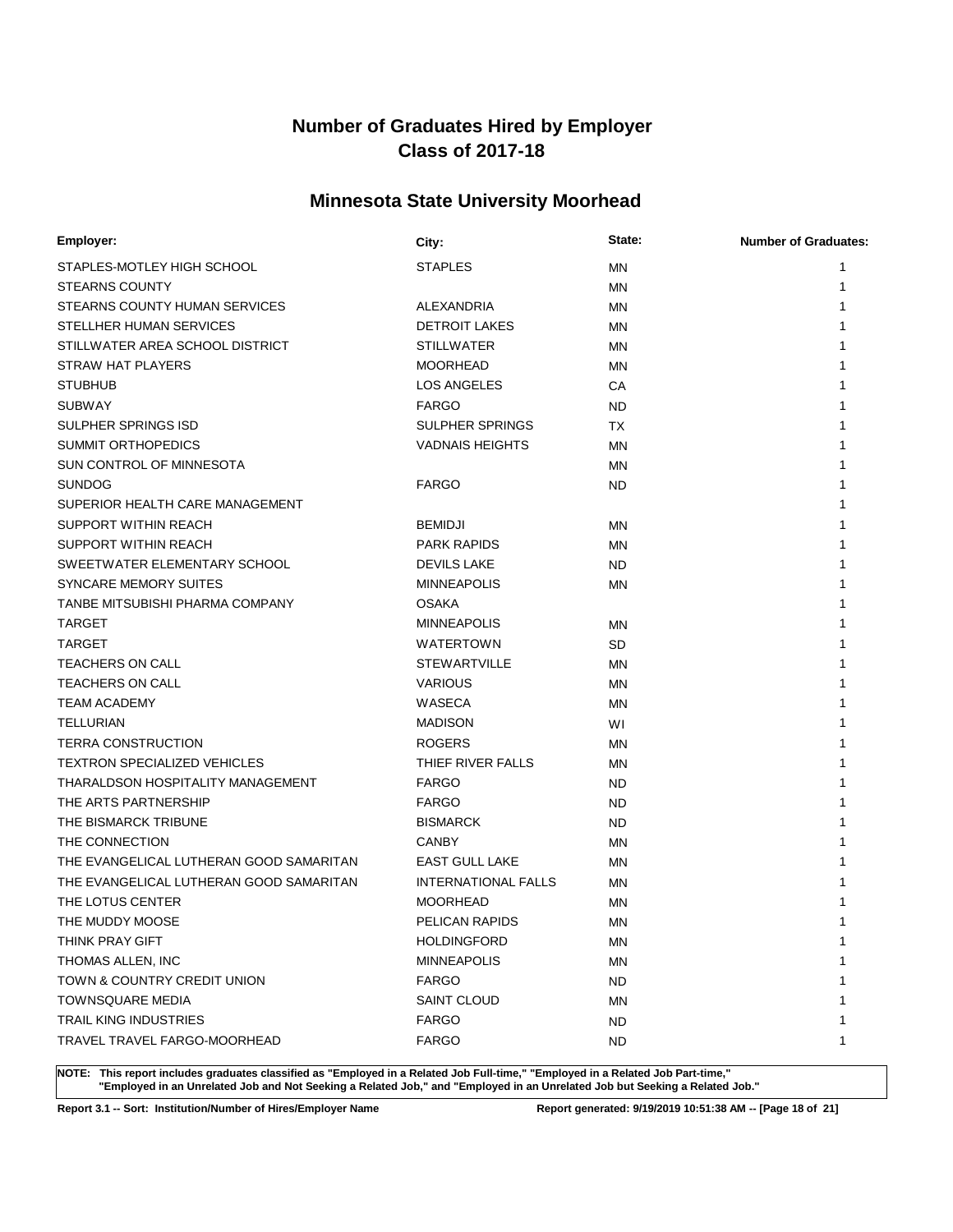# **Minnesota State University Moorhead**

| Employer:                               | City:                      | State:    | <b>Number of Graduates:</b> |
|-----------------------------------------|----------------------------|-----------|-----------------------------|
| STAPLES-MOTLEY HIGH SCHOOL              | <b>STAPLES</b>             | <b>MN</b> | 1                           |
| <b>STEARNS COUNTY</b>                   |                            | MN        | 1                           |
| STEARNS COUNTY HUMAN SERVICES           | <b>ALEXANDRIA</b>          | MN        | 1                           |
| STELLHER HUMAN SERVICES                 | <b>DETROIT LAKES</b>       | MN        |                             |
| STILLWATER AREA SCHOOL DISTRICT         | <b>STILLWATER</b>          | MN        | 1                           |
| STRAW HAT PLAYERS                       | <b>MOORHEAD</b>            | MN        | 1                           |
| <b>STUBHUB</b>                          | <b>LOS ANGELES</b>         | CA        | 1                           |
| <b>SUBWAY</b>                           | <b>FARGO</b>               | <b>ND</b> | 1                           |
| <b>SULPHER SPRINGS ISD</b>              | <b>SULPHER SPRINGS</b>     | <b>TX</b> | 1                           |
| <b>SUMMIT ORTHOPEDICS</b>               | <b>VADNAIS HEIGHTS</b>     | MN        |                             |
| SUN CONTROL OF MINNESOTA                |                            | MN        |                             |
| <b>SUNDOG</b>                           | <b>FARGO</b>               | <b>ND</b> |                             |
| SUPERIOR HEALTH CARE MANAGEMENT         |                            |           | 1                           |
| SUPPORT WITHIN REACH                    | <b>BEMIDJI</b>             | MN        | 1                           |
| SUPPORT WITHIN REACH                    | <b>PARK RAPIDS</b>         | ΜN        | 1                           |
| SWEETWATER ELEMENTARY SCHOOL            | <b>DEVILS LAKE</b>         | <b>ND</b> | 1                           |
| SYNCARE MEMORY SUITES                   | <b>MINNEAPOLIS</b>         | ΜN        | 1                           |
| TANBE MITSUBISHI PHARMA COMPANY         | <b>OSAKA</b>               |           | 1                           |
| <b>TARGET</b>                           | <b>MINNEAPOLIS</b>         | ΜN        | 1                           |
| <b>TARGET</b>                           | <b>WATERTOWN</b>           | <b>SD</b> | 1                           |
| <b>TEACHERS ON CALL</b>                 | <b>STEWARTVILLE</b>        | ΜN        | 1                           |
| <b>TEACHERS ON CALL</b>                 | <b>VARIOUS</b>             | MN        | 1                           |
| <b>TEAM ACADEMY</b>                     | WASECA                     | ΜN        | 1                           |
| <b>TELLURIAN</b>                        | <b>MADISON</b>             | WI        | 1                           |
| <b>TERRA CONSTRUCTION</b>               | <b>ROGERS</b>              | ΜN        | 1                           |
| <b>TEXTRON SPECIALIZED VEHICLES</b>     | THIEF RIVER FALLS          | MN        | 1                           |
| THARALDSON HOSPITALITY MANAGEMENT       | <b>FARGO</b>               | <b>ND</b> | 1                           |
| THE ARTS PARTNERSHIP                    | <b>FARGO</b>               | <b>ND</b> | 1                           |
| THE BISMARCK TRIBUNE                    | <b>BISMARCK</b>            | <b>ND</b> | 1                           |
| THE CONNECTION                          | <b>CANBY</b>               | MN        | 1                           |
| THE EVANGELICAL LUTHERAN GOOD SAMARITAN | <b>EAST GULL LAKE</b>      | ΜN        |                             |
| THE EVANGELICAL LUTHERAN GOOD SAMARITAN | <b>INTERNATIONAL FALLS</b> | <b>MN</b> |                             |
| THE LOTUS CENTER                        | <b>MOORHEAD</b>            | MN        | 1                           |
| THE MUDDY MOOSE                         | PELICAN RAPIDS             | MN        | 1                           |
| THINK PRAY GIFT                         | HOLDINGFORD                | ΜN        | 1                           |
| THOMAS ALLEN, INC                       | <b>MINNEAPOLIS</b>         | <b>MN</b> | 1                           |
| TOWN & COUNTRY CREDIT UNION             | <b>FARGO</b>               | <b>ND</b> | 1                           |
| TOWNSQUARE MEDIA                        | SAINT CLOUD                | MN        | 1                           |
| TRAIL KING INDUSTRIES                   | <b>FARGO</b>               | <b>ND</b> | 1                           |
| TRAVEL TRAVEL FARGO-MOORHEAD            | <b>FARGO</b>               | <b>ND</b> | 1                           |

**NOTE: This report includes graduates classified as "Employed in a Related Job Full-time," "Employed in a Related Job Part-time," "Employed in an Unrelated Job and Not Seeking a Related Job," and "Employed in an Unrelated Job but Seeking a Related Job."**

**Report 3.1 -- Sort: Institution/Number of Hires/Employer Name Report generated: 9/19/2019 10:51:38 AM -- [Page 18 of 21]**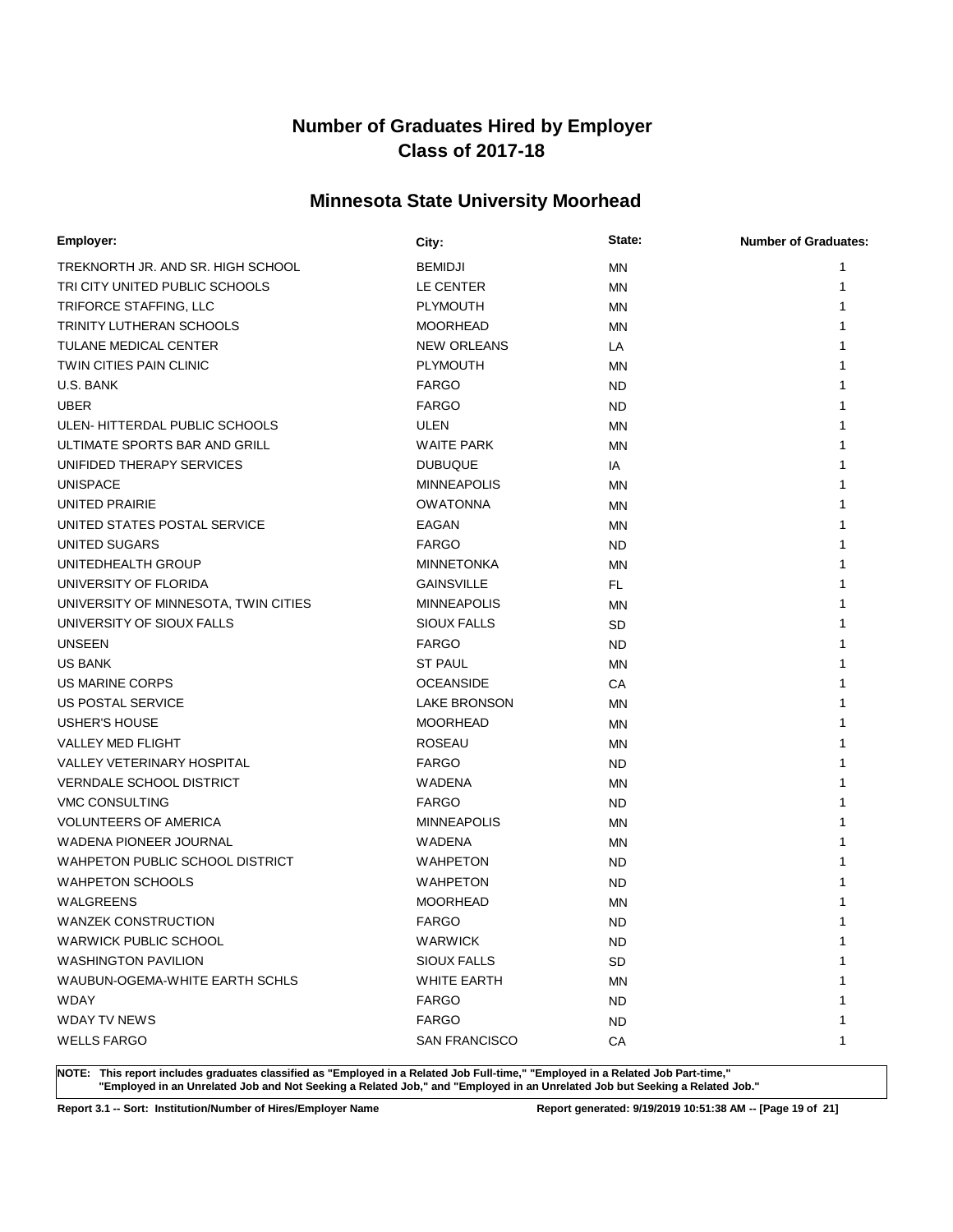# **Minnesota State University Moorhead**

| Employer:                            | City:                | State:    | <b>Number of Graduates:</b> |
|--------------------------------------|----------------------|-----------|-----------------------------|
| TREKNORTH JR. AND SR. HIGH SCHOOL    | <b>BEMIDJI</b>       | MN        | 1                           |
| TRI CITY UNITED PUBLIC SCHOOLS       | LE CENTER            | MN        | 1                           |
| TRIFORCE STAFFING, LLC               | <b>PLYMOUTH</b>      | MN        |                             |
| TRINITY LUTHERAN SCHOOLS             | <b>MOORHEAD</b>      | MN        |                             |
| TULANE MEDICAL CENTER                | <b>NEW ORLEANS</b>   | LA        |                             |
| TWIN CITIES PAIN CLINIC              | <b>PLYMOUTH</b>      | MN        |                             |
| U.S. BANK                            | <b>FARGO</b>         | <b>ND</b> |                             |
| <b>UBER</b>                          | <b>FARGO</b>         | <b>ND</b> |                             |
| ULEN-HITTERDAL PUBLIC SCHOOLS        | ULEN                 | MN        |                             |
| ULTIMATE SPORTS BAR AND GRILL        | <b>WAITE PARK</b>    | MN        |                             |
| UNIFIDED THERAPY SERVICES            | <b>DUBUQUE</b>       | IA        |                             |
| <b>UNISPACE</b>                      | <b>MINNEAPOLIS</b>   | MN        |                             |
| UNITED PRAIRIE                       | <b>OWATONNA</b>      | MN        |                             |
| UNITED STATES POSTAL SERVICE         | EAGAN                | MN        |                             |
| UNITED SUGARS                        | <b>FARGO</b>         | <b>ND</b> |                             |
| UNITEDHEALTH GROUP                   | <b>MINNETONKA</b>    | MN        |                             |
| UNIVERSITY OF FLORIDA                | <b>GAINSVILLE</b>    | FL.       |                             |
| UNIVERSITY OF MINNESOTA, TWIN CITIES | <b>MINNEAPOLIS</b>   | MN        |                             |
| UNIVERSITY OF SIOUX FALLS            | <b>SIOUX FALLS</b>   | <b>SD</b> |                             |
| <b>UNSEEN</b>                        | <b>FARGO</b>         | <b>ND</b> |                             |
| <b>US BANK</b>                       | <b>ST PAUL</b>       | MN        |                             |
| <b>US MARINE CORPS</b>               | <b>OCEANSIDE</b>     | CA        |                             |
| US POSTAL SERVICE                    | <b>LAKE BRONSON</b>  | MN        |                             |
| <b>USHER'S HOUSE</b>                 | <b>MOORHEAD</b>      | MN        |                             |
| <b>VALLEY MED FLIGHT</b>             | <b>ROSEAU</b>        | MN        |                             |
| <b>VALLEY VETERINARY HOSPITAL</b>    | <b>FARGO</b>         | ND.       |                             |
| <b>VERNDALE SCHOOL DISTRICT</b>      | <b>WADENA</b>        | MN        |                             |
| <b>VMC CONSULTING</b>                | <b>FARGO</b>         | <b>ND</b> |                             |
| <b>VOLUNTEERS OF AMERICA</b>         | <b>MINNEAPOLIS</b>   | MN        |                             |
| WADENA PIONEER JOURNAL               | <b>WADENA</b>        | ΜN        |                             |
| WAHPETON PUBLIC SCHOOL DISTRICT      | <b>WAHPETON</b>      | <b>ND</b> |                             |
| <b>WAHPETON SCHOOLS</b>              | <b>WAHPETON</b>      | <b>ND</b> |                             |
| WALGREENS                            | <b>MOORHEAD</b>      | MN        |                             |
| <b>WANZEK CONSTRUCTION</b>           | <b>FARGO</b>         | <b>ND</b> |                             |
| <b>WARWICK PUBLIC SCHOOL</b>         | WARWICK              | <b>ND</b> | 1                           |
| <b>WASHINGTON PAVILION</b>           | <b>SIOUX FALLS</b>   | <b>SD</b> | 1                           |
| WAUBUN-OGEMA-WHITE EARTH SCHLS       | WHITE EARTH          | ΜN        |                             |
| WDAY                                 | <b>FARGO</b>         | <b>ND</b> |                             |
| WDAY TV NEWS                         | <b>FARGO</b>         | <b>ND</b> |                             |
| <b>WELLS FARGO</b>                   | <b>SAN FRANCISCO</b> | CA        | 1                           |

**NOTE: This report includes graduates classified as "Employed in a Related Job Full-time," "Employed in a Related Job Part-time," "Employed in an Unrelated Job and Not Seeking a Related Job," and "Employed in an Unrelated Job but Seeking a Related Job."**

**Report 3.1 -- Sort: Institution/Number of Hires/Employer Name Report generated: 9/19/2019 10:51:38 AM -- [Page 19 of 21]**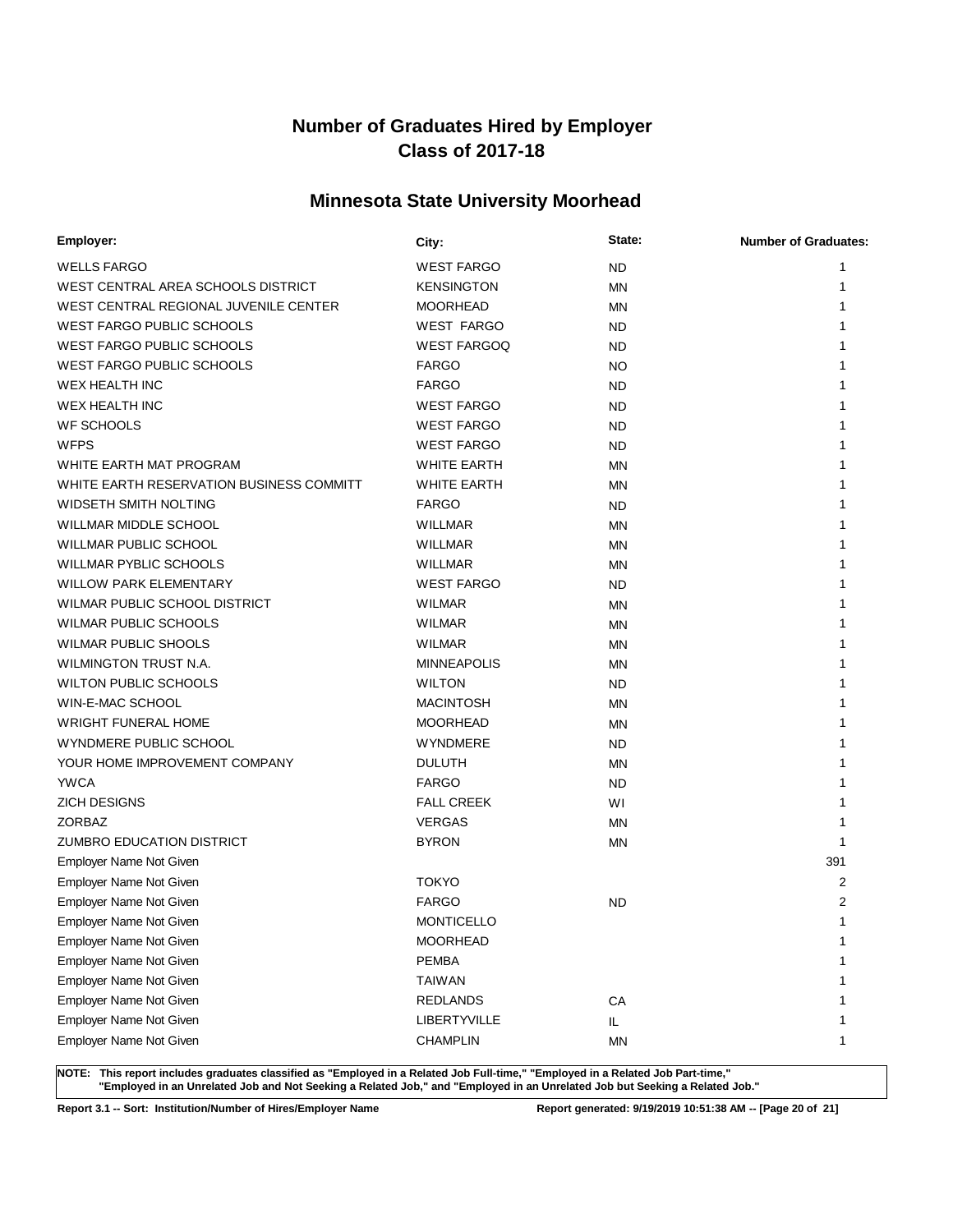# **Minnesota State University Moorhead**

| Employer:                                | City:               | State:    | <b>Number of Graduates:</b> |
|------------------------------------------|---------------------|-----------|-----------------------------|
| <b>WELLS FARGO</b>                       | <b>WEST FARGO</b>   | <b>ND</b> | 1                           |
| WEST CENTRAL AREA SCHOOLS DISTRICT       | <b>KENSINGTON</b>   | ΜN        | 1                           |
| WEST CENTRAL REGIONAL JUVENILE CENTER    | <b>MOORHEAD</b>     | ΜN        |                             |
| <b>WEST FARGO PUBLIC SCHOOLS</b>         | <b>WEST FARGO</b>   | <b>ND</b> |                             |
| <b>WEST FARGO PUBLIC SCHOOLS</b>         | <b>WEST FARGOQ</b>  | <b>ND</b> |                             |
| <b>WEST FARGO PUBLIC SCHOOLS</b>         | <b>FARGO</b>        | <b>NO</b> |                             |
| <b>WEX HEALTH INC</b>                    | <b>FARGO</b>        | ND.       |                             |
| <b>WEX HEALTH INC</b>                    | <b>WEST FARGO</b>   | ND        |                             |
| <b>WF SCHOOLS</b>                        | <b>WEST FARGO</b>   | ND.       |                             |
| <b>WFPS</b>                              | <b>WEST FARGO</b>   | ND        |                             |
| WHITE EARTH MAT PROGRAM                  | <b>WHITE EARTH</b>  | ΜN        |                             |
| WHITE EARTH RESERVATION BUSINESS COMMITT | <b>WHITE EARTH</b>  | ΜN        |                             |
| WIDSETH SMITH NOLTING                    | <b>FARGO</b>        | <b>ND</b> |                             |
| WILLMAR MIDDLE SCHOOL                    | <b>WILLMAR</b>      | <b>MN</b> |                             |
| <b>WILLMAR PUBLIC SCHOOL</b>             | <b>WILLMAR</b>      | ΜN        |                             |
| <b>WILLMAR PYBLIC SCHOOLS</b>            | <b>WILLMAR</b>      | ΜN        |                             |
| <b>WILLOW PARK ELEMENTARY</b>            | <b>WEST FARGO</b>   | ND        |                             |
| WILMAR PUBLIC SCHOOL DISTRICT            | <b>WILMAR</b>       | ΜN        |                             |
| <b>WILMAR PUBLIC SCHOOLS</b>             | <b>WILMAR</b>       | ΜN        |                             |
| <b>WILMAR PUBLIC SHOOLS</b>              | <b>WILMAR</b>       | ΜN        |                             |
| WILMINGTON TRUST N.A.                    | <b>MINNEAPOLIS</b>  | <b>MN</b> |                             |
| <b>WILTON PUBLIC SCHOOLS</b>             | <b>WILTON</b>       | ND        |                             |
| WIN-E-MAC SCHOOL                         | <b>MACINTOSH</b>    | ΜN        | 1                           |
| <b>WRIGHT FUNERAL HOME</b>               | <b>MOORHEAD</b>     | ΜN        |                             |
| WYNDMERE PUBLIC SCHOOL                   | <b>WYNDMERE</b>     | ND        |                             |
| YOUR HOME IMPROVEMENT COMPANY            | <b>DULUTH</b>       | ΜN        |                             |
| <b>YWCA</b>                              | <b>FARGO</b>        | ND.       |                             |
| <b>ZICH DESIGNS</b>                      | <b>FALL CREEK</b>   | WI        | 1                           |
| ZORBAZ                                   | <b>VERGAS</b>       | <b>MN</b> | 1                           |
| <b>ZUMBRO EDUCATION DISTRICT</b>         | <b>BYRON</b>        | ΜN        | 1                           |
| Employer Name Not Given                  |                     |           | 391                         |
| Employer Name Not Given                  | <b>TOKYO</b>        |           | $\overline{2}$              |
| Employer Name Not Given                  | <b>FARGO</b>        | <b>ND</b> | $\overline{2}$              |
| <b>Employer Name Not Given</b>           | <b>MONTICELLO</b>   |           | $\mathbf{1}$                |
| Employer Name Not Given                  | <b>MOORHEAD</b>     |           | 1                           |
| Employer Name Not Given                  | <b>PEMBA</b>        |           | 1                           |
| <b>Employer Name Not Given</b>           | <b>TAIWAN</b>       |           | 1                           |
| Employer Name Not Given                  | <b>REDLANDS</b>     | CA        | 1                           |
| Employer Name Not Given                  | <b>LIBERTYVILLE</b> | IL.       | 1                           |
| Employer Name Not Given                  | <b>CHAMPLIN</b>     | <b>MN</b> | 1                           |

**NOTE: This report includes graduates classified as "Employed in a Related Job Full-time," "Employed in a Related Job Part-time," "Employed in an Unrelated Job and Not Seeking a Related Job," and "Employed in an Unrelated Job but Seeking a Related Job."**

**Report 3.1 -- Sort: Institution/Number of Hires/Employer Name Report generated: 9/19/2019 10:51:38 AM -- [Page 20 of 21]**